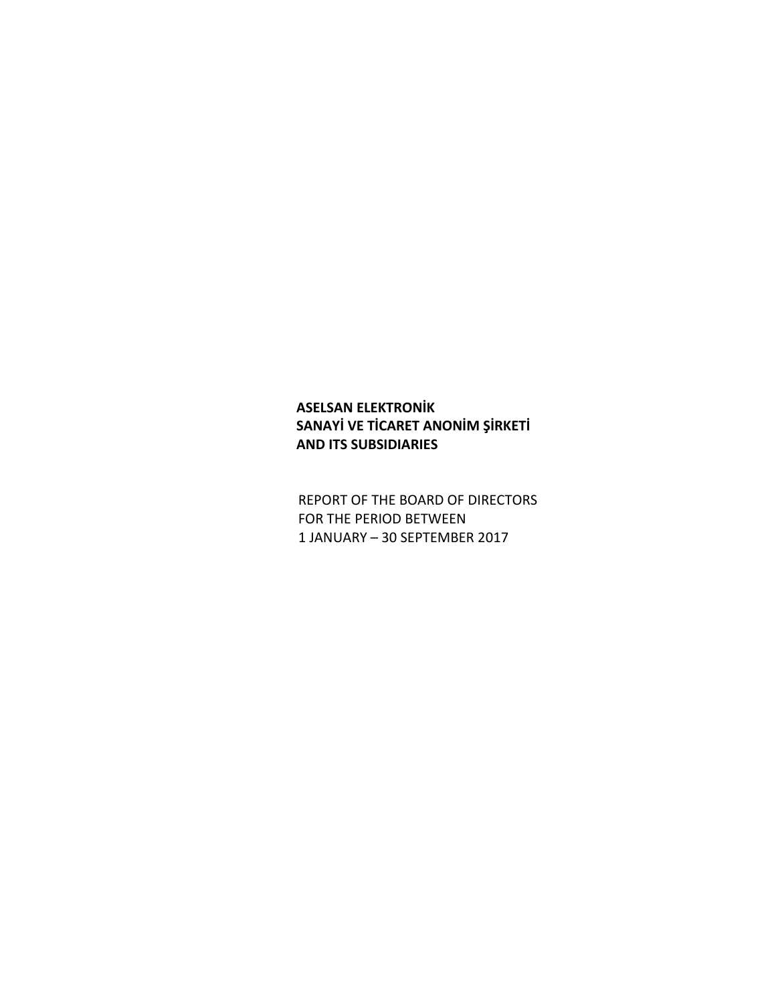# **ASELSAN ELEKTRONİK SANAYİ VE TİCARET ANONİM ŞİRKETİ AND ITS SUBSIDIARIES**

REPORT OF THE BOARD OF DIRECTORS FOR THE PERIOD BETWEEN 1 JANUARY – 30 SEPTEMBER 2017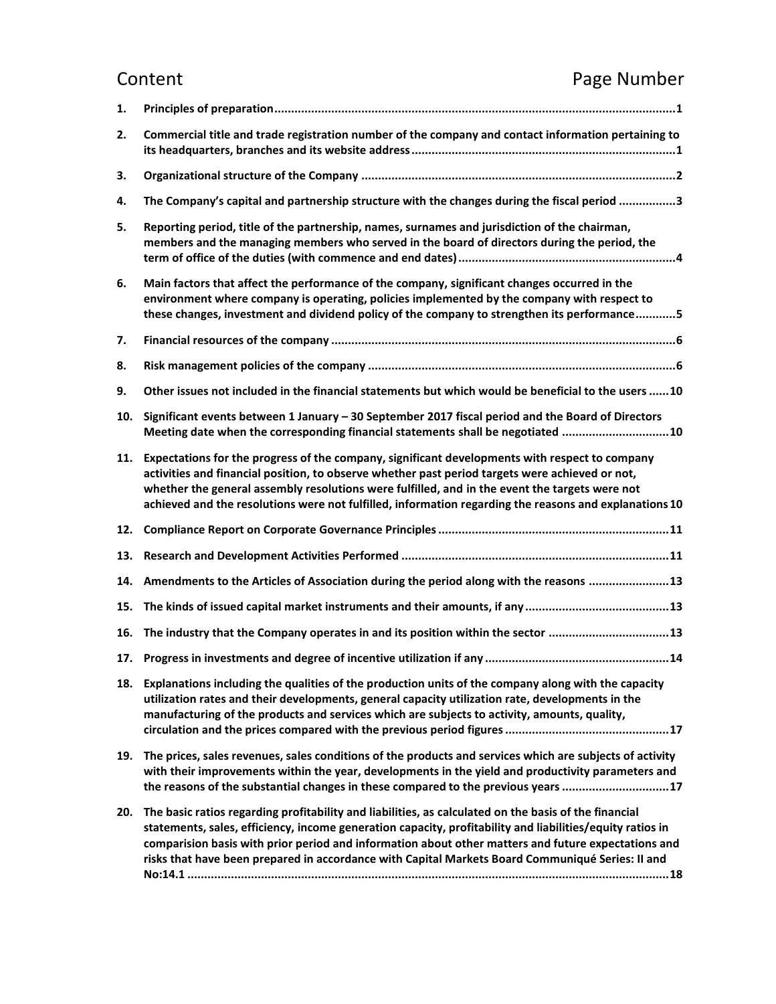# Content **Content Content**

| 1.  |                                                                                                                                                                                                                                                                                                                                                                                                                               |
|-----|-------------------------------------------------------------------------------------------------------------------------------------------------------------------------------------------------------------------------------------------------------------------------------------------------------------------------------------------------------------------------------------------------------------------------------|
| 2.  | Commercial title and trade registration number of the company and contact information pertaining to                                                                                                                                                                                                                                                                                                                           |
| 3.  |                                                                                                                                                                                                                                                                                                                                                                                                                               |
| 4.  | The Company's capital and partnership structure with the changes during the fiscal period 3                                                                                                                                                                                                                                                                                                                                   |
| 5.  | Reporting period, title of the partnership, names, surnames and jurisdiction of the chairman,<br>members and the managing members who served in the board of directors during the period, the                                                                                                                                                                                                                                 |
| 6.  | Main factors that affect the performance of the company, significant changes occurred in the<br>environment where company is operating, policies implemented by the company with respect to<br>these changes, investment and dividend policy of the company to strengthen its performance5                                                                                                                                    |
| 7.  |                                                                                                                                                                                                                                                                                                                                                                                                                               |
| 8.  |                                                                                                                                                                                                                                                                                                                                                                                                                               |
| 9.  | Other issues not included in the financial statements but which would be beneficial to the users  10                                                                                                                                                                                                                                                                                                                          |
| 10. | Significant events between 1 January - 30 September 2017 fiscal period and the Board of Directors<br>Meeting date when the corresponding financial statements shall be negotiated  10                                                                                                                                                                                                                                         |
| 11. | Expectations for the progress of the company, significant developments with respect to company<br>activities and financial position, to observe whether past period targets were achieved or not,<br>whether the general assembly resolutions were fulfilled, and in the event the targets were not<br>achieved and the resolutions were not fulfilled, information regarding the reasons and explanations 10                 |
| 12. |                                                                                                                                                                                                                                                                                                                                                                                                                               |
| 13. |                                                                                                                                                                                                                                                                                                                                                                                                                               |
| 14. | Amendments to the Articles of Association during the period along with the reasons  13                                                                                                                                                                                                                                                                                                                                        |
| 15. |                                                                                                                                                                                                                                                                                                                                                                                                                               |
| 16. | The industry that the Company operates in and its position within the sector 13                                                                                                                                                                                                                                                                                                                                               |
|     |                                                                                                                                                                                                                                                                                                                                                                                                                               |
|     | 18. Explanations including the qualities of the production units of the company along with the capacity<br>utilization rates and their developments, general capacity utilization rate, developments in the<br>manufacturing of the products and services which are subjects to activity, amounts, quality,                                                                                                                   |
| 19. | The prices, sales revenues, sales conditions of the products and services which are subjects of activity<br>with their improvements within the year, developments in the yield and productivity parameters and<br>the reasons of the substantial changes in these compared to the previous years 17                                                                                                                           |
| 20. | The basic ratios regarding profitability and liabilities, as calculated on the basis of the financial<br>statements, sales, efficiency, income generation capacity, profitability and liabilities/equity ratios in<br>comparision basis with prior period and information about other matters and future expectations and<br>risks that have been prepared in accordance with Capital Markets Board Communiqué Series: II and |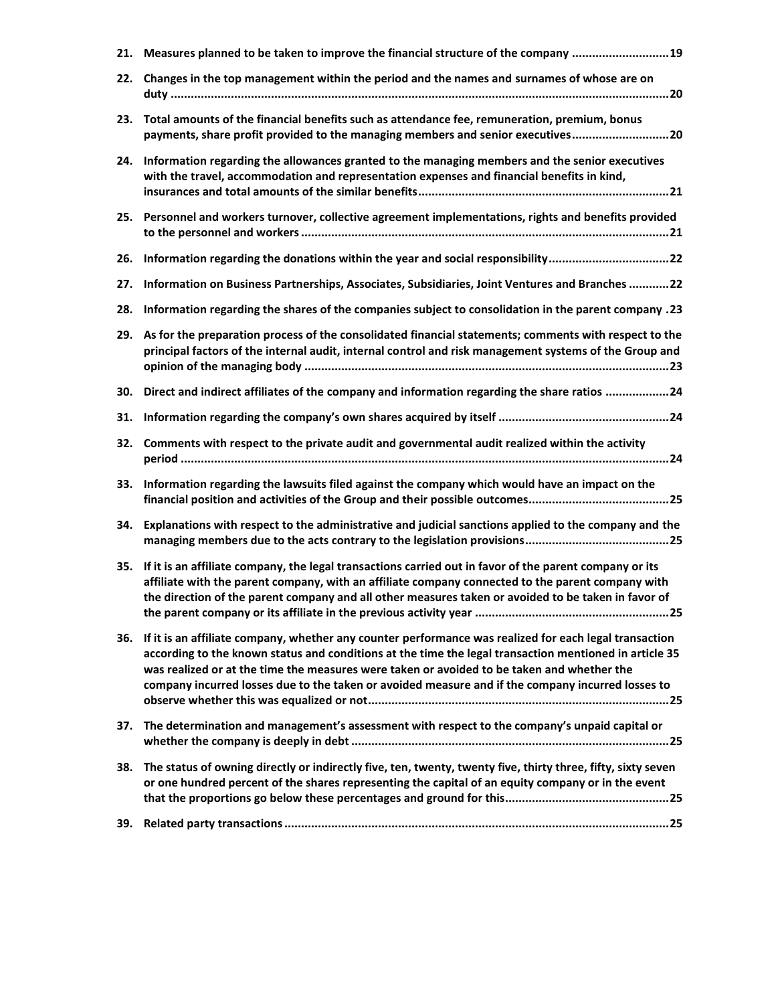| 21. | Measures planned to be taken to improve the financial structure of the company  19                                                                                                                                                                                                                                                                                                                                  |
|-----|---------------------------------------------------------------------------------------------------------------------------------------------------------------------------------------------------------------------------------------------------------------------------------------------------------------------------------------------------------------------------------------------------------------------|
| 22. | Changes in the top management within the period and the names and surnames of whose are on                                                                                                                                                                                                                                                                                                                          |
| 23. | Total amounts of the financial benefits such as attendance fee, remuneration, premium, bonus<br>payments, share profit provided to the managing members and senior executives20                                                                                                                                                                                                                                     |
| 24. | Information regarding the allowances granted to the managing members and the senior executives<br>with the travel, accommodation and representation expenses and financial benefits in kind,                                                                                                                                                                                                                        |
| 25. | Personnel and workers turnover, collective agreement implementations, rights and benefits provided                                                                                                                                                                                                                                                                                                                  |
| 26. | Information regarding the donations within the year and social responsibility22                                                                                                                                                                                                                                                                                                                                     |
| 27. | Information on Business Partnerships, Associates, Subsidiaries, Joint Ventures and Branches 22                                                                                                                                                                                                                                                                                                                      |
| 28. | 13. Information regarding the shares of the companies subject to consolidation in the parent company                                                                                                                                                                                                                                                                                                                |
| 29. | As for the preparation process of the consolidated financial statements; comments with respect to the<br>principal factors of the internal audit, internal control and risk management systems of the Group and                                                                                                                                                                                                     |
| 30. | Direct and indirect affiliates of the company and information regarding the share ratios 24                                                                                                                                                                                                                                                                                                                         |
| 31. |                                                                                                                                                                                                                                                                                                                                                                                                                     |
| 32. | Comments with respect to the private audit and governmental audit realized within the activity                                                                                                                                                                                                                                                                                                                      |
| 33. | Information regarding the lawsuits filed against the company which would have an impact on the                                                                                                                                                                                                                                                                                                                      |
| 34. | Explanations with respect to the administrative and judicial sanctions applied to the company and the                                                                                                                                                                                                                                                                                                               |
| 35. | If it is an affiliate company, the legal transactions carried out in favor of the parent company or its<br>affiliate with the parent company, with an affiliate company connected to the parent company with<br>the direction of the parent company and all other measures taken or avoided to be taken in favor of                                                                                                 |
| 36. | If it is an affiliate company, whether any counter performance was realized for each legal transaction<br>according to the known status and conditions at the time the legal transaction mentioned in article 35<br>was realized or at the time the measures were taken or avoided to be taken and whether the<br>company incurred losses due to the taken or avoided measure and if the company incurred losses to |
| 37. | The determination and management's assessment with respect to the company's unpaid capital or                                                                                                                                                                                                                                                                                                                       |
| 38. | The status of owning directly or indirectly five, ten, twenty, twenty five, thirty three, fifty, sixty seven<br>or one hundred percent of the shares representing the capital of an equity company or in the event                                                                                                                                                                                                  |
|     |                                                                                                                                                                                                                                                                                                                                                                                                                     |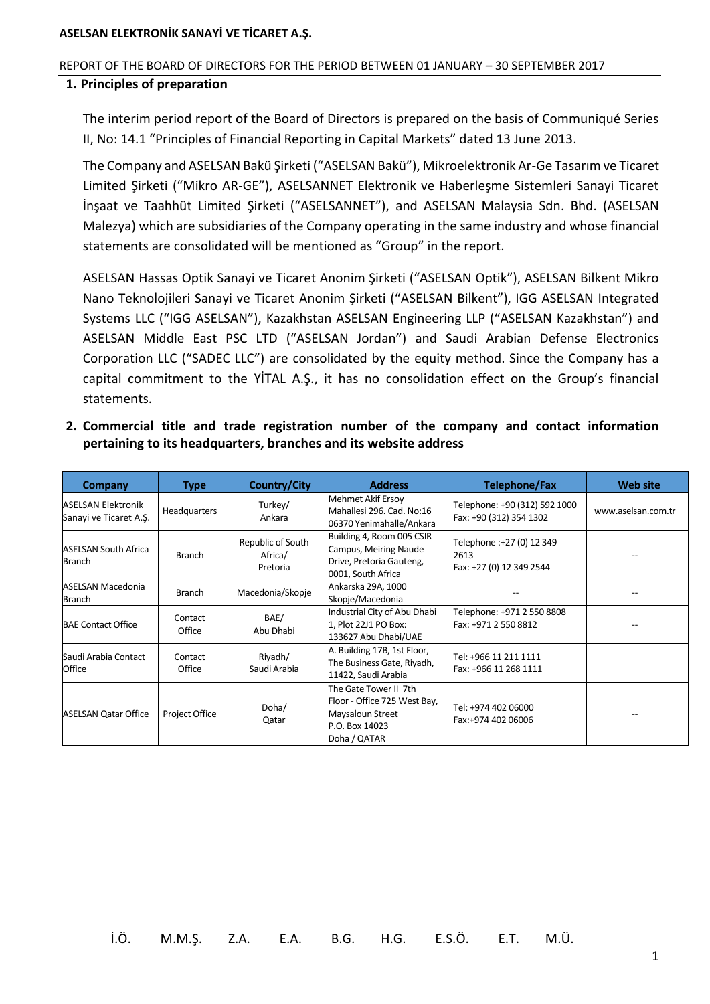#### <span id="page-3-0"></span>REPORT OF THE BOARD OF DIRECTORS FOR THE PERIOD BETWEEN 01 JANUARY – 30 SEPTEMBER 2017

#### **1. Principles of preparation**

The interim period report of the Board of Directors is prepared on the basis of Communiqué Series II, No: 14.1 "Principles of Financial Reporting in Capital Markets" dated 13 June 2013.

The Company and ASELSAN Bakü Şirketi ("ASELSAN Bakü"), Mikroelektronik Ar-Ge Tasarım ve Ticaret Limited Şirketi ("Mikro AR-GE"), ASELSANNET Elektronik ve Haberleşme Sistemleri Sanayi Ticaret İnşaat ve Taahhüt Limited Şirketi ("ASELSANNET"), and ASELSAN Malaysia Sdn. Bhd. (ASELSAN Malezya) which are subsidiaries of the Company operating in the same industry and whose financial statements are consolidated will be mentioned as "Group" in the report.

ASELSAN Hassas Optik Sanayi ve Ticaret Anonim Şirketi ("ASELSAN Optik"), ASELSAN Bilkent Mikro Nano Teknolojileri Sanayi ve Ticaret Anonim Şirketi ("ASELSAN Bilkent"), IGG ASELSAN Integrated Systems LLC ("IGG ASELSAN"), Kazakhstan ASELSAN Engineering LLP ("ASELSAN Kazakhstan") and ASELSAN Middle East PSC LTD ("ASELSAN Jordan") and Saudi Arabian Defense Electronics Corporation LLC ("SADEC LLC") are consolidated by the equity method. Since the Company has a capital commitment to the YİTAL A.Ş., it has no consolidation effect on the Group's financial statements.

<span id="page-3-1"></span>**2. Commercial title and trade registration number of the company and contact information pertaining to its headquarters, branches and its website address**

| Company                                             | <b>Type</b>       | <b>Country/City</b>                      | <b>Address</b>                                                                                              | Telephone/Fax                                                 | <b>Web site</b>    |
|-----------------------------------------------------|-------------------|------------------------------------------|-------------------------------------------------------------------------------------------------------------|---------------------------------------------------------------|--------------------|
| <b>ASELSAN Elektronik</b><br>Sanayi ve Ticaret A.Ş. | Headquarters      | Turkey/<br>Ankara                        | Mehmet Akif Ersoy<br>Mahallesi 296. Cad. No:16<br>06370 Yenimahalle/Ankara                                  | Telephone: +90 (312) 592 1000<br>Fax: +90 (312) 354 1302      | www.aselsan.com.tr |
| <b>ASELSAN South Africa</b><br><b>Branch</b>        | Branch            | Republic of South<br>Africa/<br>Pretoria | Building 4, Room 005 CSIR<br>Campus, Meiring Naude<br>Drive, Pretoria Gauteng,<br>0001, South Africa        | Telephone :+27 (0) 12 349<br>2613<br>Fax: +27 (0) 12 349 2544 |                    |
| <b>ASELSAN Macedonia</b><br>Branch                  | Branch            | Macedonia/Skopje                         | Ankarska 29A, 1000<br>Skopje/Macedonia                                                                      |                                                               |                    |
| <b>BAE Contact Office</b>                           | Contact<br>Office | BAE/<br>Abu Dhabi                        | Industrial City of Abu Dhabi<br>1, Plot 22J1 PO Box:<br>133627 Abu Dhabi/UAE                                | Telephone: +971 2 550 8808<br>Fax: +971 2 550 8812            |                    |
| Saudi Arabia Contact<br>Office                      | Contact<br>Office | Riyadh/<br>Saudi Arabia                  | A. Building 17B, 1st Floor,<br>The Business Gate, Riyadh,<br>11422, Saudi Arabia                            | Tel: +966 11 211 1111<br>Fax: +966 11 268 1111                |                    |
| <b>ASELSAN Qatar Office</b>                         | Project Office    | Doha/<br>Qatar                           | The Gate Tower II 7th<br>Floor - Office 725 West Bay,<br>Maysaloun Street<br>P.O. Box 14023<br>Doha / QATAR | Tel: +974 402 06000<br>Fax:+974 402 06006                     |                    |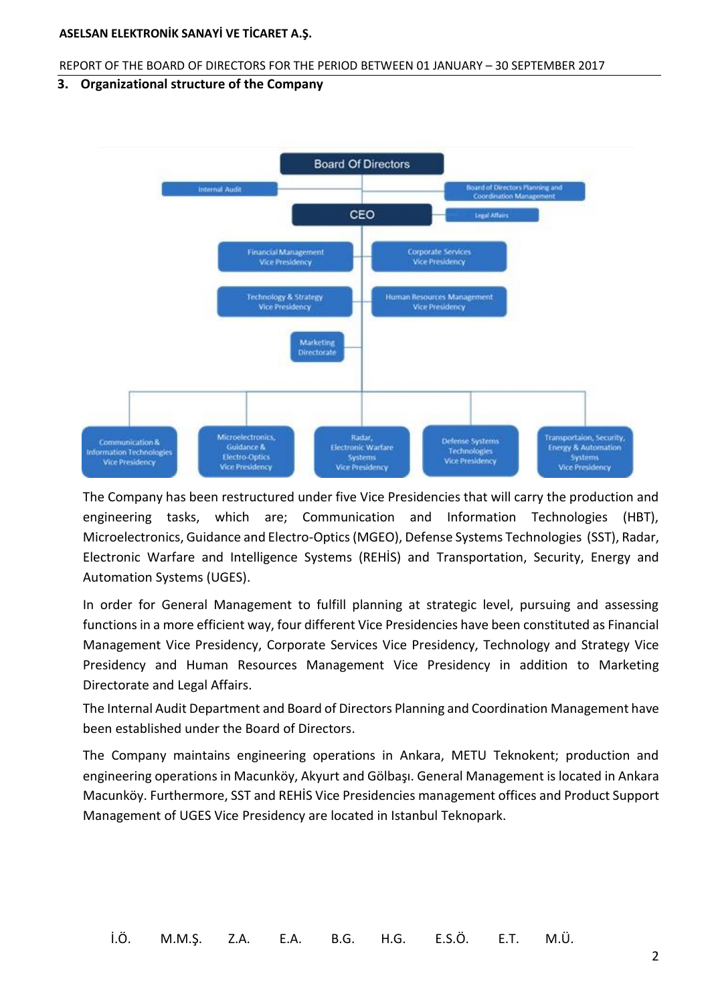#### <span id="page-4-0"></span>REPORT OF THE BOARD OF DIRECTORS FOR THE PERIOD BETWEEN 01 JANUARY – 30 SEPTEMBER 2017

### **3. Organizational structure of the Company**



The Company has been restructured under five Vice Presidencies that will carry the production and engineering tasks, which are; Communication and Information Technologies (HBT), Microelectronics, Guidance and Electro-Optics (MGEO), Defense Systems Technologies (SST), Radar, Electronic Warfare and Intelligence Systems (REHİS) and Transportation, Security, Energy and Automation Systems (UGES).

In order for General Management to fulfill planning at strategic level, pursuing and assessing functions in a more efficient way, four different Vice Presidencies have been constituted as Financial Management Vice Presidency, Corporate Services Vice Presidency, Technology and Strategy Vice Presidency and Human Resources Management Vice Presidency in addition to Marketing Directorate and Legal Affairs.

The Internal Audit Department and Board of Directors Planning and Coordination Management have been established under the Board of Directors.

The Company maintains engineering operations in Ankara, METU Teknokent; production and engineering operations in Macunköy, Akyurt and Gölbaşı. General Management is located in Ankara Macunköy. Furthermore, SST and REHİS Vice Presidencies management offices and Product Support Management of UGES Vice Presidency are located in Istanbul Teknopark.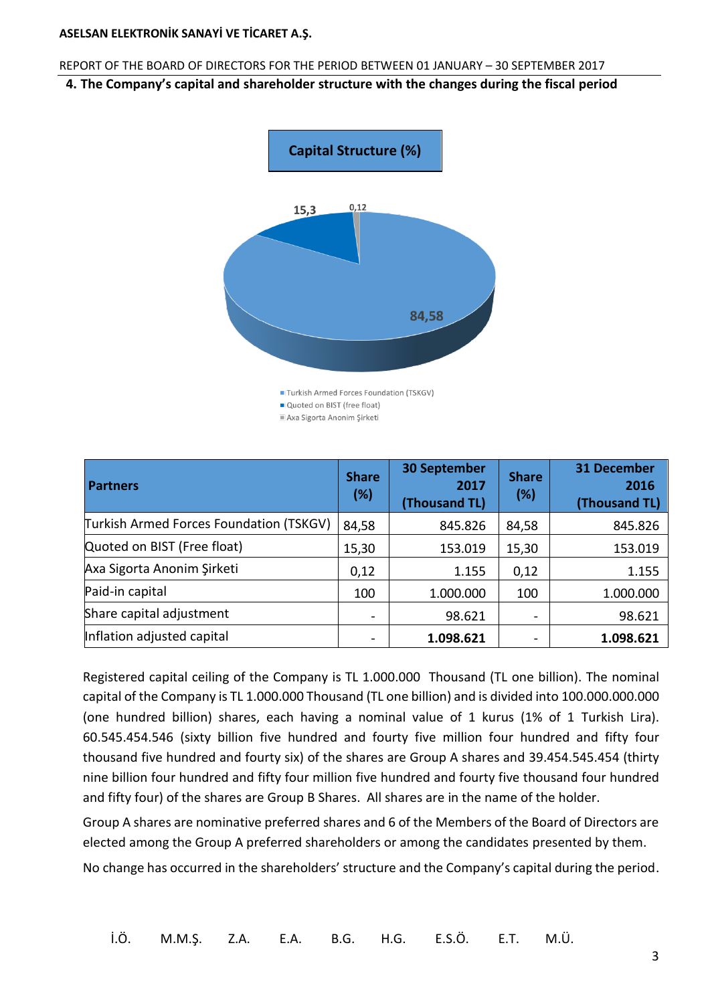#### <span id="page-5-0"></span>REPORT OF THE BOARD OF DIRECTORS FOR THE PERIOD BETWEEN 01 JANUARY – 30 SEPTEMBER 2017

#### **4. The Company's capital and shareholder structure with the changes during the fiscal period**



Axa Sigorta Anonim Şirketi

| <b>Partners</b>                         | <b>Share</b><br>(%) | <b>30 September</b><br>2017<br>(Thousand TL) | <b>Share</b><br>(%) | <b>31 December</b><br>2016<br>(Thousand TL) |
|-----------------------------------------|---------------------|----------------------------------------------|---------------------|---------------------------------------------|
| Turkish Armed Forces Foundation (TSKGV) | 84,58               | 845.826                                      | 84,58               | 845.826                                     |
| Quoted on BIST (Free float)             | 15,30               | 153.019                                      | 15,30               | 153.019                                     |
| Axa Sigorta Anonim Şirketi              | 0,12                | 1.155                                        | 0,12                | 1.155                                       |
| Paid-in capital                         | 100                 | 1.000.000                                    | 100                 | 1.000.000                                   |
| Share capital adjustment                |                     | 98.621                                       |                     | 98.621                                      |
| Inflation adjusted capital              |                     | 1.098.621                                    |                     | 1.098.621                                   |

Registered capital ceiling of the Company is TL 1.000.000 Thousand (TL one billion). The nominal capital of the Company is TL 1.000.000 Thousand (TL one billion) and is divided into 100.000.000.000 (one hundred billion) shares, each having a nominal value of 1 kurus (1% of 1 Turkish Lira). 60.545.454.546 (sixty billion five hundred and fourty five million four hundred and fifty four thousand five hundred and fourty six) of the shares are Group A shares and 39.454.545.454 (thirty nine billion four hundred and fifty four million five hundred and fourty five thousand four hundred and fifty four) of the shares are Group B Shares. All shares are in the name of the holder.

Group A shares are nominative preferred shares and 6 of the Members of the Board of Directors are elected among the Group A preferred shareholders or among the candidates presented by them.

No change has occurred in the shareholders' structure and the Company's capital during the period.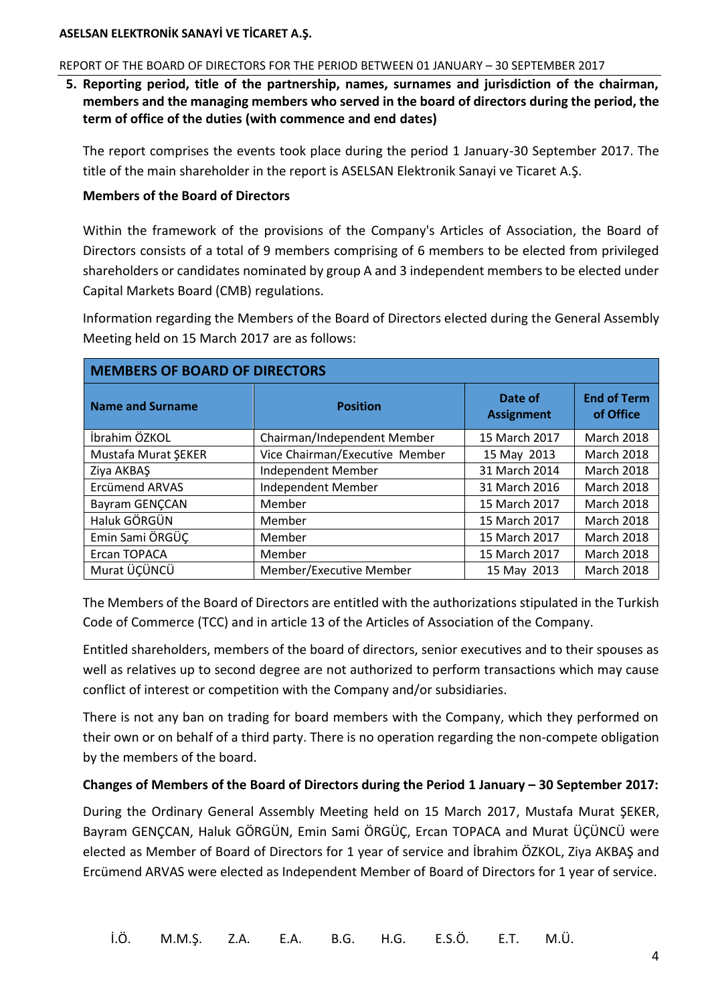#### <span id="page-6-0"></span>REPORT OF THE BOARD OF DIRECTORS FOR THE PERIOD BETWEEN 01 JANUARY – 30 SEPTEMBER 2017

**5. Reporting period, title of the partnership, names, surnames and jurisdiction of the chairman, members and the managing members who served in the board of directors during the period, the term of office of the duties (with commence and end dates)** 

The report comprises the events took place during the period 1 January-30 September 2017. The title of the main shareholder in the report is ASELSAN Elektronik Sanayi ve Ticaret A.Ş.

#### **Members of the Board of Directors**

Within the framework of the provisions of the Company's Articles of Association, the Board of Directors consists of a total of 9 members comprising of 6 members to be elected from privileged shareholders or candidates nominated by group A and 3 independent members to be elected under Capital Markets Board (CMB) regulations.

Information regarding the Members of the Board of Directors elected during the General Assembly Meeting held on 15 March 2017 are as follows:

| <b>MEMBERS OF BOARD OF DIRECTORS</b> |                                |                              |                                 |  |  |
|--------------------------------------|--------------------------------|------------------------------|---------------------------------|--|--|
| <b>Name and Surname</b>              | <b>Position</b>                | Date of<br><b>Assignment</b> | <b>End of Term</b><br>of Office |  |  |
| İbrahim ÖZKOL                        | Chairman/Independent Member    | 15 March 2017                | <b>March 2018</b>               |  |  |
| Mustafa Murat ŞEKER                  | Vice Chairman/Executive Member | 15 May 2013                  | <b>March 2018</b>               |  |  |
| Ziya AKBAŞ                           | Independent Member             | 31 March 2014                | <b>March 2018</b>               |  |  |
| <b>Ercümend ARVAS</b>                | Independent Member             | 31 March 2016                | <b>March 2018</b>               |  |  |
| Bayram GENÇCAN                       | Member                         | 15 March 2017                | <b>March 2018</b>               |  |  |
| Haluk GÖRGÜN                         | Member                         | 15 March 2017                | <b>March 2018</b>               |  |  |
| Emin Sami ÖRGÜÇ                      | Member                         | 15 March 2017                | <b>March 2018</b>               |  |  |
| Ercan TOPACA                         | Member                         | 15 March 2017                | <b>March 2018</b>               |  |  |
| Murat ÜÇÜNCÜ                         | Member/Executive Member        | 15 May 2013                  | <b>March 2018</b>               |  |  |

The Members of the Board of Directors are entitled with the authorizations stipulated in the Turkish Code of Commerce (TCC) and in article 13 of the Articles of Association of the Company.

Entitled shareholders, members of the board of directors, senior executives and to their spouses as well as relatives up to second degree are not authorized to perform transactions which may cause conflict of interest or competition with the Company and/or subsidiaries.

There is not any ban on trading for board members with the Company, which they performed on their own or on behalf of a third party. There is no operation regarding the non-compete obligation by the members of the board.

# **Changes of Members of the Board of Directors during the Period 1 January – 30 September 2017:**

During the Ordinary General Assembly Meeting held on 15 March 2017, Mustafa Murat ŞEKER, Bayram GENÇCAN, Haluk GÖRGÜN, Emin Sami ÖRGÜÇ, Ercan TOPACA and Murat ÜÇÜNCÜ were elected as Member of Board of Directors for 1 year of service and İbrahim ÖZKOL, Ziya AKBAŞ and Ercümend ARVAS were elected as Independent Member of Board of Directors for 1 year of service.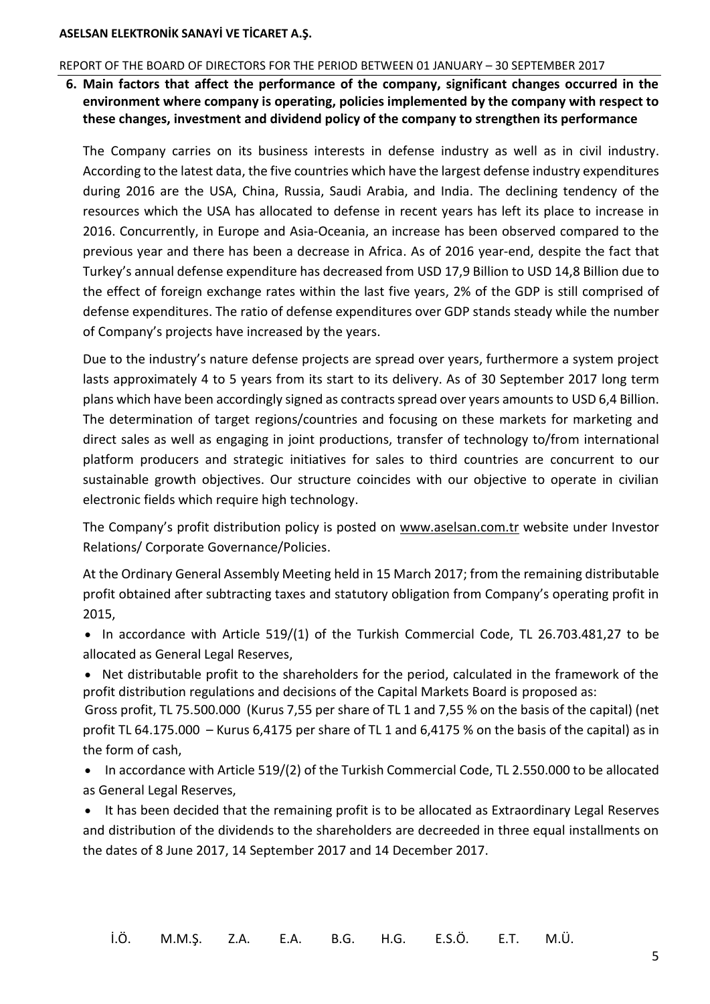#### <span id="page-7-0"></span>REPORT OF THE BOARD OF DIRECTORS FOR THE PERIOD BETWEEN 01 JANUARY – 30 SEPTEMBER 2017

**6. Main factors that affect the performance of the company, significant changes occurred in the environment where company is operating, policies implemented by the company with respect to these changes, investment and dividend policy of the company to strengthen its performance**

The Company carries on its business interests in defense industry as well as in civil industry. According to the latest data, the five countries which have the largest defense industry expenditures during 2016 are the USA, China, Russia, Saudi Arabia, and India. The declining tendency of the resources which the USA has allocated to defense in recent years has left its place to increase in 2016. Concurrently, in Europe and Asia-Oceania, an increase has been observed compared to the previous year and there has been a decrease in Africa. As of 2016 year-end, despite the fact that Turkey's annual defense expenditure has decreased from USD 17,9 Billion to USD 14,8 Billion due to the effect of foreign exchange rates within the last five years, 2% of the GDP is still comprised of defense expenditures. The ratio of defense expenditures over GDP stands steady while the number of Company's projects have increased by the years.

Due to the industry's nature defense projects are spread over years, furthermore a system project lasts approximately 4 to 5 years from its start to its delivery. As of 30 September 2017 long term plans which have been accordingly signed as contracts spread over years amounts to USD 6,4 Billion. The determination of target regions/countries and focusing on these markets for marketing and direct sales as well as engaging in joint productions, transfer of technology to/from international platform producers and strategic initiatives for sales to third countries are concurrent to our sustainable growth objectives. Our structure coincides with our objective to operate in civilian electronic fields which require high technology.

The Company's profit distribution policy is posted on [www.aselsan.com.tr](http://www.aselsan.com.tr/) website under Investor Relations/ Corporate Governance/Policies.

At the Ordinary General Assembly Meeting held in 15 March 2017; from the remaining distributable profit obtained after subtracting taxes and statutory obligation from Company's operating profit in 2015,

• In accordance with Article 519/(1) of the Turkish Commercial Code, TL 26.703.481,27 to be allocated as General Legal Reserves,

 Net distributable profit to the shareholders for the period, calculated in the framework of the profit distribution regulations and decisions of the Capital Markets Board is proposed as:

Gross profit, TL 75.500.000 (Kurus 7,55 per share of TL 1 and 7,55 % on the basis of the capital) (net profit TL 64.175.000 – Kurus 6,4175 per share of TL 1 and 6,4175 % on the basis of the capital) as in the form of cash,

- In accordance with Article 519/(2) of the Turkish Commercial Code, TL 2.550.000 to be allocated as General Legal Reserves,
- It has been decided that the remaining profit is to be allocated as Extraordinary Legal Reserves and distribution of the dividends to the shareholders are decreeded in three equal installments on the dates of 8 June 2017, 14 September 2017 and 14 December 2017.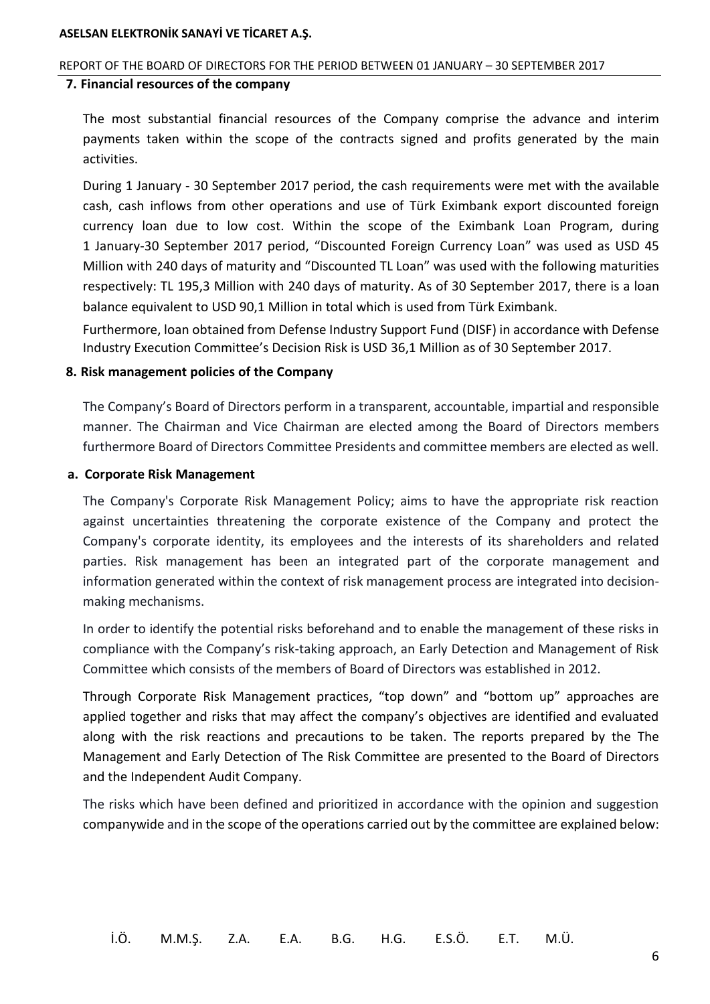#### <span id="page-8-0"></span>REPORT OF THE BOARD OF DIRECTORS FOR THE PERIOD BETWEEN 01 JANUARY – 30 SEPTEMBER 2017

#### **7. Financial resources of the company**

The most substantial financial resources of the Company comprise the advance and interim payments taken within the scope of the contracts signed and profits generated by the main activities.

During 1 January - 30 September 2017 period, the cash requirements were met with the available cash, cash inflows from other operations and use of Türk Eximbank export discounted foreign currency loan due to low cost. Within the scope of the Eximbank Loan Program, during 1 January-30 September 2017 period, "Discounted Foreign Currency Loan" was used as USD 45 Million with 240 days of maturity and "Discounted TL Loan" was used with the following maturities respectively: TL 195,3 Million with 240 days of maturity. As of 30 September 2017, there is a loan balance equivalent to USD 90,1 Million in total which is used from Türk Eximbank.

<span id="page-8-1"></span>Furthermore, loan obtained from Defense Industry Support Fund (DISF) in accordance with Defense Industry Execution Committee's Decision Risk is USD 36,1 Million as of 30 September 2017.

#### **8. Risk management policies of the Company**

The Company's Board of Directors perform in a transparent, accountable, impartial and responsible manner. The Chairman and Vice Chairman are elected among the Board of Directors members furthermore Board of Directors Committee Presidents and committee members are elected as well.

#### **a. Corporate Risk Management**

The Company's Corporate Risk Management Policy; aims to have the appropriate risk reaction against uncertainties threatening the corporate existence of the Company and protect the Company's corporate identity, its employees and the interests of its shareholders and related parties. Risk management has been an integrated part of the corporate management and information generated within the context of risk management process are integrated into decisionmaking mechanisms.

In order to identify the potential risks beforehand and to enable the management of these risks in compliance with the Company's risk-taking approach, an Early Detection and Management of Risk Committee which consists of the members of Board of Directors was established in 2012.

Through Corporate Risk Management practices, "top down" and "bottom up" approaches are applied together and risks that may affect the company's objectives are identified and evaluated along with the risk reactions and precautions to be taken. The reports prepared by the The Management and Early Detection of The Risk Committee are presented to the Board of Directors and the Independent Audit Company.

The risks which have been defined and prioritized in accordance with the opinion and suggestion companywide and in the scope of the operations carried out by the committee are explained below: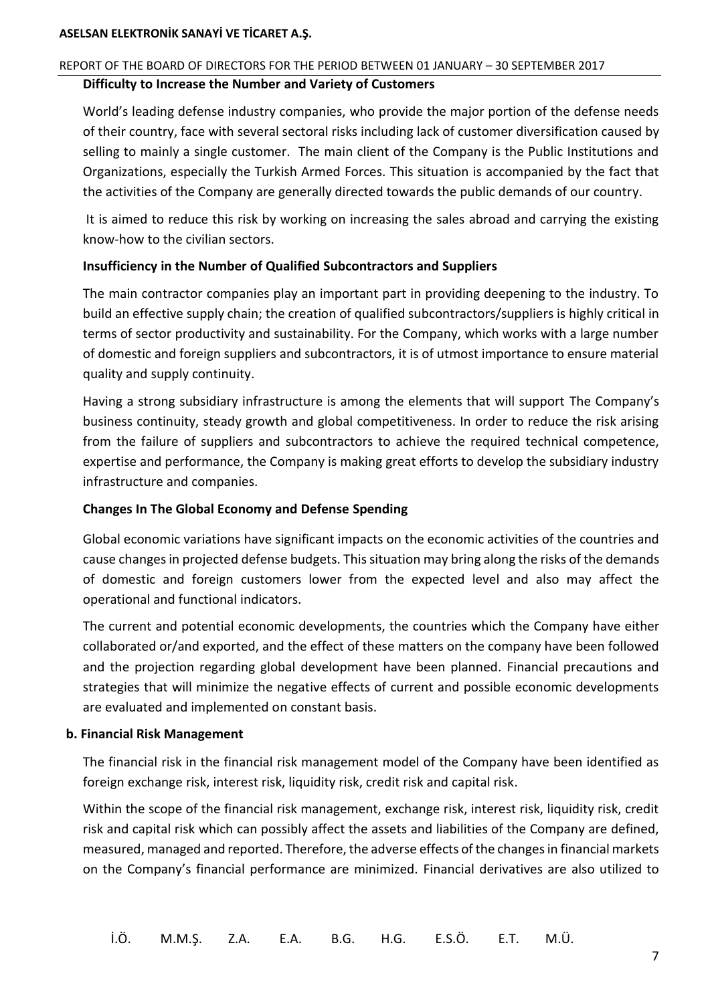#### REPORT OF THE BOARD OF DIRECTORS FOR THE PERIOD BETWEEN 01 JANUARY – 30 SEPTEMBER 2017

#### **Difficulty to Increase the Number and Variety of Customers**

World's leading defense industry companies, who provide the major portion of the defense needs of their country, face with several sectoral risks including lack of customer diversification caused by selling to mainly a single customer. The main client of the Company is the Public Institutions and Organizations, especially the Turkish Armed Forces. This situation is accompanied by the fact that the activities of the Company are generally directed towards the public demands of our country.

It is aimed to reduce this risk by working on increasing the sales abroad and carrying the existing know-how to the civilian sectors.

#### **Insufficiency in the Number of Qualified Subcontractors and Suppliers**

The main contractor companies play an important part in providing deepening to the industry. To build an effective supply chain; the creation of qualified subcontractors/suppliers is highly critical in terms of sector productivity and sustainability. For the Company, which works with a large number of domestic and foreign suppliers and subcontractors, it is of utmost importance to ensure material quality and supply continuity.

Having a strong subsidiary infrastructure is among the elements that will support The Company's business continuity, steady growth and global competitiveness. In order to reduce the risk arising from the failure of suppliers and subcontractors to achieve the required technical competence, expertise and performance, the Company is making great efforts to develop the subsidiary industry infrastructure and companies.

#### **Changes In The Global Economy and Defense Spending**

Global economic variations have significant impacts on the economic activities of the countries and cause changes in projected defense budgets. This situation may bring along the risks of the demands of domestic and foreign customers lower from the expected level and also may affect the operational and functional indicators.

The current and potential economic developments, the countries which the Company have either collaborated or/and exported, and the effect of these matters on the company have been followed and the projection regarding global development have been planned. Financial precautions and strategies that will minimize the negative effects of current and possible economic developments are evaluated and implemented on constant basis.

#### **b. Financial Risk Management**

The financial risk in the financial risk management model of the Company have been identified as foreign exchange risk, interest risk, liquidity risk, credit risk and capital risk.

Within the scope of the financial risk management, exchange risk, interest risk, liquidity risk, credit risk and capital risk which can possibly affect the assets and liabilities of the Company are defined, measured, managed and reported. Therefore, the adverse effects of the changes in financial markets on the Company's financial performance are minimized. Financial derivatives are also utilized to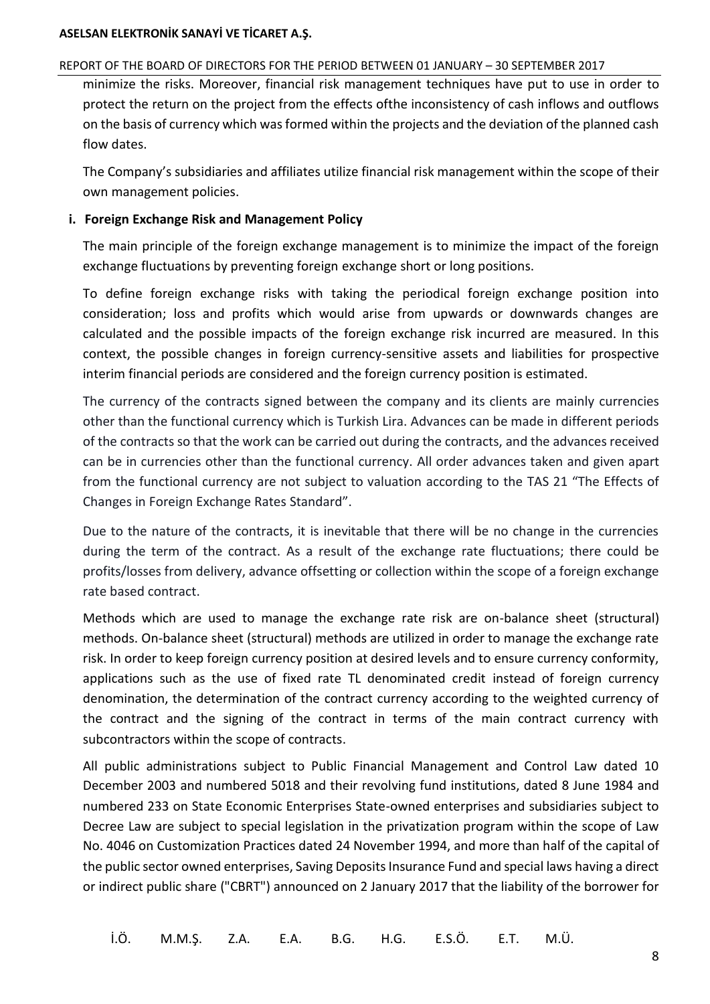#### REPORT OF THE BOARD OF DIRECTORS FOR THE PERIOD BETWEEN 01 JANUARY – 30 SEPTEMBER 2017

minimize the risks. Moreover, financial risk management techniques have put to use in order to protect the return on the project from the effects ofthe inconsistency of cash inflows and outflows on the basis of currency which was formed within the projects and the deviation of the planned cash flow dates.

The Company's subsidiaries and affiliates utilize financial risk management within the scope of their own management policies.

### **i. Foreign Exchange Risk and Management Policy**

The main principle of the foreign exchange management is to minimize the impact of the foreign exchange fluctuations by preventing foreign exchange short or long positions.

To define foreign exchange risks with taking the periodical foreign exchange position into consideration; loss and profits which would arise from upwards or downwards changes are calculated and the possible impacts of the foreign exchange risk incurred are measured. In this context, the possible changes in foreign currency-sensitive assets and liabilities for prospective interim financial periods are considered and the foreign currency position is estimated.

The currency of the contracts signed between the company and its clients are mainly currencies other than the functional currency which is Turkish Lira. Advances can be made in different periods of the contracts so that the work can be carried out during the contracts, and the advances received can be in currencies other than the functional currency. All order advances taken and given apart from the functional currency are not subject to valuation according to the TAS 21 "The Effects of Changes in Foreign Exchange Rates Standard".

Due to the nature of the contracts, it is inevitable that there will be no change in the currencies during the term of the contract. As a result of the exchange rate fluctuations; there could be profits/losses from delivery, advance offsetting or collection within the scope of a foreign exchange rate based contract.

Methods which are used to manage the exchange rate risk are on-balance sheet (structural) methods. On-balance sheet (structural) methods are utilized in order to manage the exchange rate risk. In order to keep foreign currency position at desired levels and to ensure currency conformity, applications such as the use of fixed rate TL denominated credit instead of foreign currency denomination, the determination of the contract currency according to the weighted currency of the contract and the signing of the contract in terms of the main contract currency with subcontractors within the scope of contracts.

All public administrations subject to Public Financial Management and Control Law dated 10 December 2003 and numbered 5018 and their revolving fund institutions, dated 8 June 1984 and numbered 233 on State Economic Enterprises State-owned enterprises and subsidiaries subject to Decree Law are subject to special legislation in the privatization program within the scope of Law No. 4046 on Customization Practices dated 24 November 1994, and more than half of the capital of the public sector owned enterprises, Saving Deposits Insurance Fund and special laws having a direct or indirect public share ("CBRT") announced on 2 January 2017 that the liability of the borrower for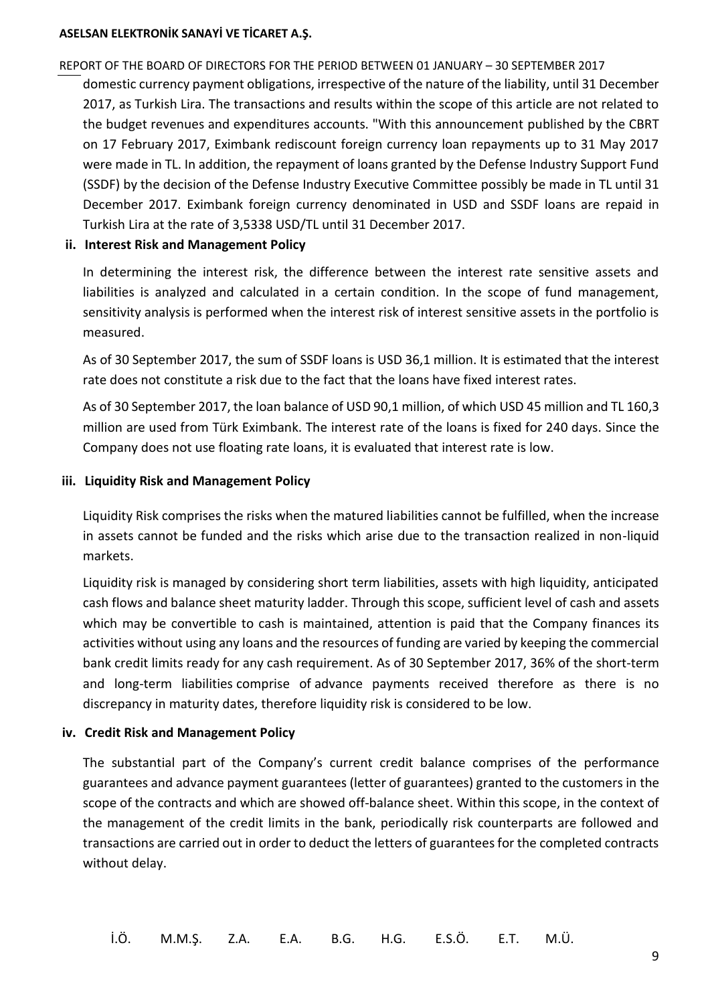#### REPORT OF THE BOARD OF DIRECTORS FOR THE PERIOD BETWEEN 01 JANUARY – 30 SEPTEMBER 2017

domestic currency payment obligations, irrespective of the nature of the liability, until 31 December 2017, as Turkish Lira. The transactions and results within the scope of this article are not related to the budget revenues and expenditures accounts. "With this announcement published by the CBRT on 17 February 2017, Eximbank rediscount foreign currency loan repayments up to 31 May 2017 were made in TL. In addition, the repayment of loans granted by the Defense Industry Support Fund (SSDF) by the decision of the Defense Industry Executive Committee possibly be made in TL until 31 December 2017. Eximbank foreign currency denominated in USD and SSDF loans are repaid in Turkish Lira at the rate of 3,5338 USD/TL until 31 December 2017.

### **ii. Interest Risk and Management Policy**

In determining the interest risk, the difference between the interest rate sensitive assets and liabilities is analyzed and calculated in a certain condition. In the scope of fund management, sensitivity analysis is performed when the interest risk of interest sensitive assets in the portfolio is measured.

As of 30 September 2017, the sum of SSDF loans is USD 36,1 million. It is estimated that the interest rate does not constitute a risk due to the fact that the loans have fixed interest rates.

As of 30 September 2017, the loan balance of USD 90,1 million, of which USD 45 million and TL 160,3 million are used from Türk Eximbank. The interest rate of the loans is fixed for 240 days. Since the Company does not use floating rate loans, it is evaluated that interest rate is low.

#### **iii. Liquidity Risk and Management Policy**

Liquidity Risk comprises the risks when the matured liabilities cannot be fulfilled, when the increase in assets cannot be funded and the risks which arise due to the transaction realized in non-liquid markets.

Liquidity risk is managed by considering short term liabilities, assets with high liquidity, anticipated cash flows and balance sheet maturity ladder. Through this scope, sufficient level of cash and assets which may be convertible to cash is maintained, attention is paid that the Company finances its activities without using any loans and the resources of funding are varied by keeping the commercial bank credit limits ready for any cash requirement. As of 30 September 2017, 36% of the short-term and long-term liabilities comprise of advance payments received therefore as there is no discrepancy in maturity dates, therefore liquidity risk is considered to be low.

#### **iv. Credit Risk and Management Policy**

The substantial part of the Company's current credit balance comprises of the performance guarantees and advance payment guarantees (letter of guarantees) granted to the customers in the scope of the contracts and which are showed off-balance sheet. Within this scope, in the context of the management of the credit limits in the bank, periodically risk counterparts are followed and transactions are carried out in order to deduct the letters of guarantees for the completed contracts without delay.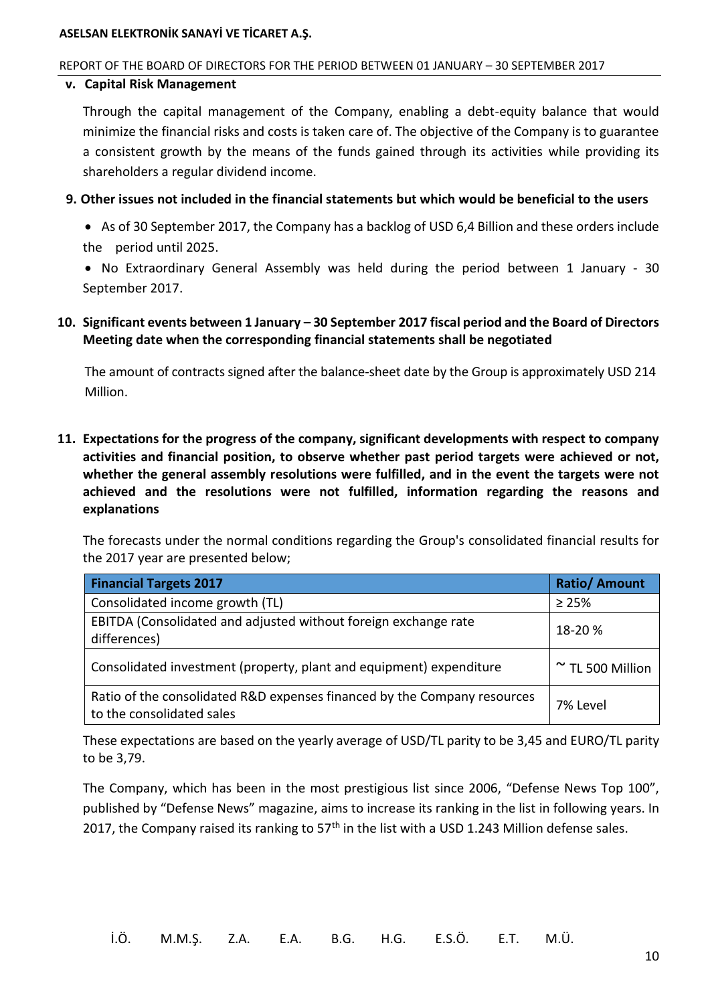#### REPORT OF THE BOARD OF DIRECTORS FOR THE PERIOD BETWEEN 01 JANUARY – 30 SEPTEMBER 2017

#### **v. Capital Risk Management**

<span id="page-12-0"></span>Through the capital management of the Company, enabling a debt-equity balance that would minimize the financial risks and costs is taken care of. The objective of the Company is to guarantee a consistent growth by the means of the funds gained through its activities while providing its shareholders a regular dividend income.

**9. Other issues not included in the financial statements but which would be beneficial to the users**

 As of 30 September 2017, the Company has a backlog of USD 6,4 Billion and these orders include the period until 2025.

<span id="page-12-1"></span> No Extraordinary General Assembly was held during the period between 1 January - 30 September 2017.

**10. Significant events between 1 January – 30 September 2017 fiscal period and the Board of Directors Meeting date when the corresponding financial statements shall be negotiated**

<span id="page-12-2"></span>The amount of contracts signed after the balance-sheet date by the Group is approximately USD 214 Million.

**11. Expectations for the progress of the company, significant developments with respect to company activities and financial position, to observe whether past period targets were achieved or not, whether the general assembly resolutions were fulfilled, and in the event the targets were not achieved and the resolutions were not fulfilled, information regarding the reasons and explanations**

The forecasts under the normal conditions regarding the Group's consolidated financial results for the 2017 year are presented below;

| <b>Financial Targets 2017</b>                                                                         | <b>Ratio/ Amount</b>  |
|-------------------------------------------------------------------------------------------------------|-----------------------|
| Consolidated income growth (TL)                                                                       | $\geq 25\%$           |
| EBITDA (Consolidated and adjusted without foreign exchange rate<br>differences)                       | 18-20 %               |
| Consolidated investment (property, plant and equipment) expenditure                                   | $\sim$ TL 500 Million |
| Ratio of the consolidated R&D expenses financed by the Company resources<br>to the consolidated sales | 7% Level              |

These expectations are based on the yearly average of USD/TL parity to be 3,45 and EURO/TL parity to be 3,79.

The Company, which has been in the most prestigious list since 2006, "Defense News Top 100", published by "Defense News" magazine, aims to increase its ranking in the list in following years. In 2017, the Company raised its ranking to  $57<sup>th</sup>$  in the list with a USD 1.243 Million defense sales.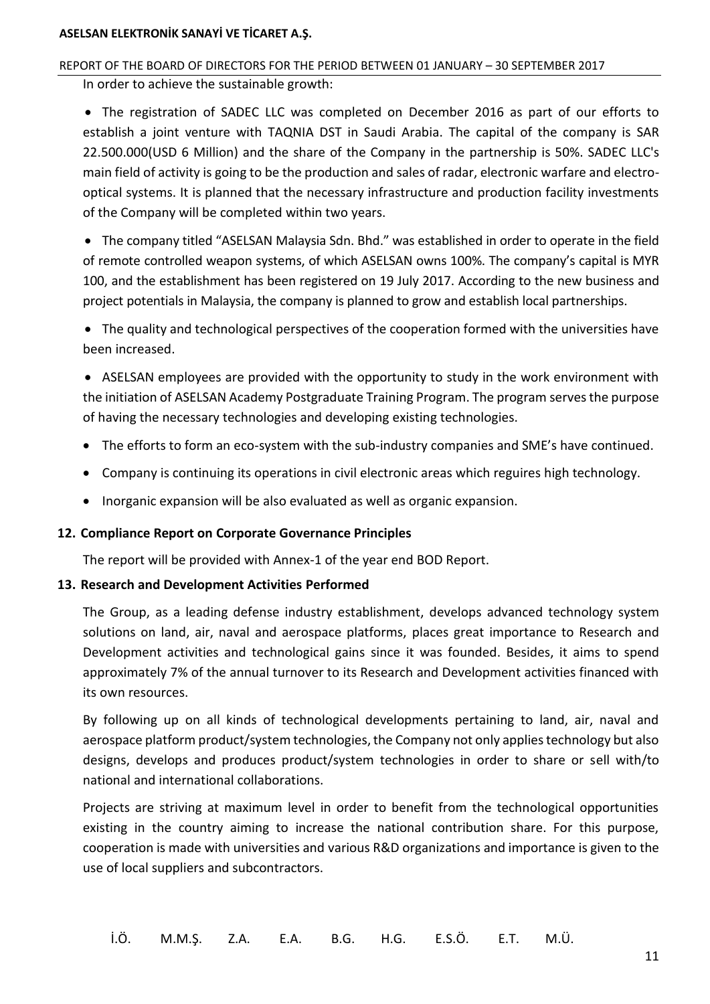# REPORT OF THE BOARD OF DIRECTORS FOR THE PERIOD BETWEEN 01 JANUARY – 30 SEPTEMBER 2017

In order to achieve the sustainable growth:

 The registration of SADEC LLC was completed on December 2016 as part of our efforts to establish a joint venture with TAQNIA DST in Saudi Arabia. The capital of the company is SAR 22.500.000(USD 6 Million) and the share of the Company in the partnership is 50%. SADEC LLC's main field of activity is going to be the production and sales of radar, electronic warfare and electrooptical systems. It is planned that the necessary infrastructure and production facility investments of the Company will be completed within two years.

 The company titled "ASELSAN Malaysia Sdn. Bhd." was established in order to operate in the field of remote controlled weapon systems, of which ASELSAN owns 100%. The company's capital is MYR 100, and the establishment has been registered on 19 July 2017. According to the new business and project potentials in Malaysia, the company is planned to grow and establish local partnerships.

 The quality and technological perspectives of the cooperation formed with the universities have been increased.

 ASELSAN employees are provided with the opportunity to study in the work environment with the initiation of ASELSAN Academy Postgraduate Training Program. The program serves the purpose of having the necessary technologies and developing existing technologies.

- The efforts to form an eco-system with the sub-industry companies and SME's have continued.
- <span id="page-13-0"></span>Company is continuing its operations in civil electronic areas which reguires high technology.
- Inorganic expansion will be also evaluated as well as organic expansion.

#### <span id="page-13-1"></span>**12. Compliance Report on Corporate Governance Principles**

The report will be provided with Annex-1 of the year end BOD Report.

#### **13. Research and Development Activities Performed**

The Group, as a leading defense industry establishment, develops advanced technology system solutions on land, air, naval and aerospace platforms, places great importance to Research and Development activities and technological gains since it was founded. Besides, it aims to spend approximately 7% of the annual turnover to its Research and Development activities financed with its own resources.

By following up on all kinds of technological developments pertaining to land, air, naval and aerospace platform product/system technologies, the Company not only applies technology but also designs, develops and produces product/system technologies in order to share or sell with/to national and international collaborations.

Projects are striving at maximum level in order to benefit from the technological opportunities existing in the country aiming to increase the national contribution share. For this purpose, cooperation is made with universities and various R&D organizations and importance is given to the use of local suppliers and subcontractors.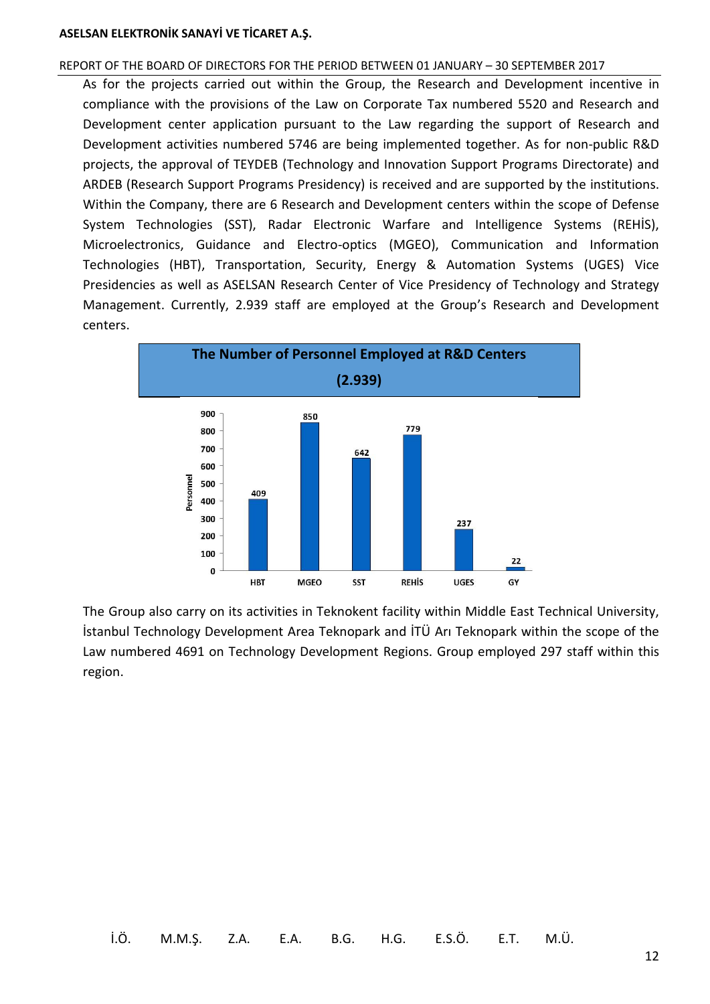#### REPORT OF THE BOARD OF DIRECTORS FOR THE PERIOD BETWEEN 01 JANUARY – 30 SEPTEMBER 2017

As for the projects carried out within the Group, the Research and Development incentive in compliance with the provisions of the Law on Corporate Tax numbered 5520 and Research and Development center application pursuant to the Law regarding the support of Research and Development activities numbered 5746 are being implemented together. As for non-public R&D projects, the approval of TEYDEB (Technology and Innovation Support Programs Directorate) and ARDEB (Research Support Programs Presidency) is received and are supported by the institutions. Within the Company, there are 6 Research and Development centers within the scope of Defense System Technologies (SST), Radar Electronic Warfare and Intelligence Systems (REHİS), Microelectronics, Guidance and Electro-optics (MGEO), Communication and Information Technologies (HBT), Transportation, Security, Energy & Automation Systems (UGES) Vice Presidencies as well as ASELSAN Research Center of Vice Presidency of Technology and Strategy Management. Currently, 2.939 staff are employed at the Group's Research and Development centers.



The Group also carry on its activities in Teknokent facility within Middle East Technical University, İstanbul Technology Development Area Teknopark and İTÜ Arı Teknopark within the scope of the Law numbered 4691 on Technology Development Regions. Group employed 297 staff within this region.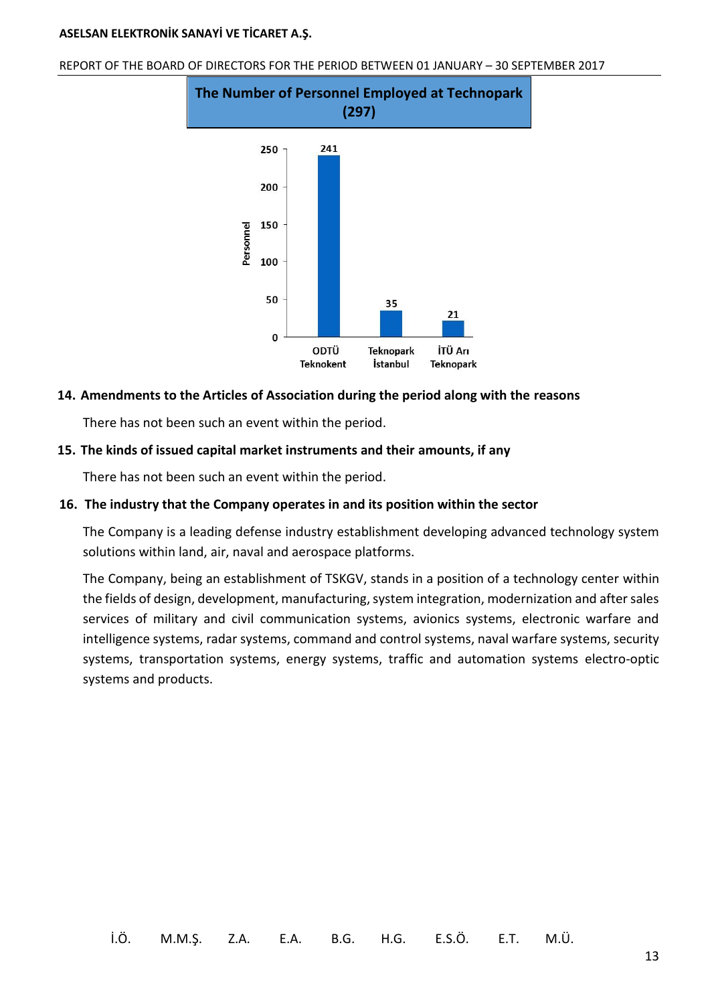REPORT OF THE BOARD OF DIRECTORS FOR THE PERIOD BETWEEN 01 JANUARY – 30 SEPTEMBER 2017



#### <span id="page-15-1"></span><span id="page-15-0"></span>**14. Amendments to the Articles of Association during the period along with the reasons**

There has not been such an event within the period.

#### <span id="page-15-2"></span>**15. The kinds of issued capital market instruments and their amounts, if any**

There has not been such an event within the period.

#### **16. The industry that the Company operates in and its position within the sector**

The Company is a leading defense industry establishment developing advanced technology system solutions within land, air, naval and aerospace platforms.

The Company, being an establishment of TSKGV, stands in a position of a technology center within the fields of design, development, manufacturing, system integration, modernization and after sales services of military and civil communication systems, avionics systems, electronic warfare and intelligence systems, radar systems, command and control systems, naval warfare systems, security systems, transportation systems, energy systems, traffic and automation systems electro-optic systems and products.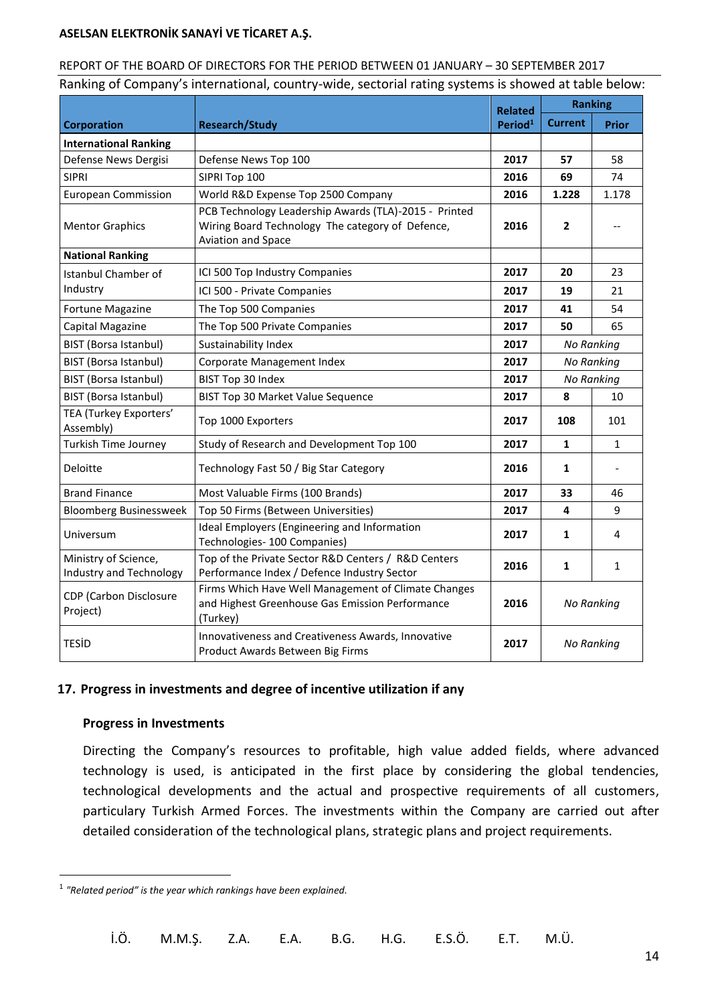#### REPORT OF THE BOARD OF DIRECTORS FOR THE PERIOD BETWEEN 01 JANUARY – 30 SEPTEMBER 2017

Ranking of Company's international, country-wide, sectorial rating systems is showed at table below:

|                                                            |                                                                                                                                 |                                       | <b>Ranking</b> |              |
|------------------------------------------------------------|---------------------------------------------------------------------------------------------------------------------------------|---------------------------------------|----------------|--------------|
| <b>Corporation</b><br><b>Research/Study</b>                |                                                                                                                                 | <b>Related</b><br>Period <sup>1</sup> | <b>Current</b> | <b>Prior</b> |
| <b>International Ranking</b>                               |                                                                                                                                 |                                       |                |              |
| Defense News Dergisi                                       | Defense News Top 100                                                                                                            | 2017                                  | 57             | 58           |
| <b>SIPRI</b>                                               | SIPRI Top 100                                                                                                                   | 2016                                  | 69             | 74           |
| <b>European Commission</b>                                 | World R&D Expense Top 2500 Company                                                                                              | 2016                                  | 1.228          | 1.178        |
| <b>Mentor Graphics</b>                                     | PCB Technology Leadership Awards (TLA)-2015 - Printed<br>Wiring Board Technology The category of Defence,<br>Aviation and Space |                                       | 2              |              |
| <b>National Ranking</b>                                    |                                                                                                                                 |                                       |                |              |
| <b>Istanbul Chamber of</b>                                 | ICI 500 Top Industry Companies                                                                                                  | 2017                                  | 20             | 23           |
| Industry                                                   | ICI 500 - Private Companies                                                                                                     | 2017                                  | 19             | 21           |
| Fortune Magazine                                           | The Top 500 Companies                                                                                                           | 2017                                  | 41             | 54           |
| Capital Magazine                                           | The Top 500 Private Companies                                                                                                   | 2017                                  | 50             | 65           |
| <b>BIST (Borsa Istanbul)</b>                               | Sustainability Index                                                                                                            | 2017                                  | No Ranking     |              |
| BIST (Borsa Istanbul)                                      | Corporate Management Index                                                                                                      | 2017                                  | No Ranking     |              |
| <b>BIST (Borsa Istanbul)</b>                               | BIST Top 30 Index                                                                                                               | 2017                                  | No Ranking     |              |
| BIST (Borsa Istanbul)                                      | <b>BIST Top 30 Market Value Sequence</b>                                                                                        | 2017                                  | 8              | 10           |
| TEA (Turkey Exporters'<br>Assembly)                        | Top 1000 Exporters                                                                                                              | 2017                                  | 108            | 101          |
| Turkish Time Journey                                       | Study of Research and Development Top 100                                                                                       | 2017                                  | 1              | $\mathbf{1}$ |
| Deloitte<br>Technology Fast 50 / Big Star Category<br>2016 |                                                                                                                                 |                                       | 1              |              |
| <b>Brand Finance</b>                                       | Most Valuable Firms (100 Brands)                                                                                                | 2017                                  | 33             | 46           |
| <b>Bloomberg Businessweek</b>                              | Top 50 Firms (Between Universities)                                                                                             | 2017                                  | 4              | 9            |
| Universum                                                  | Ideal Employers (Engineering and Information<br>Technologies- 100 Companies)                                                    |                                       | 1              | 4            |
| Ministry of Science,<br>Industry and Technology            | Top of the Private Sector R&D Centers / R&D Centers<br>Performance Index / Defence Industry Sector                              | 2016                                  | 1              | 1            |
| CDP (Carbon Disclosure<br>Project)                         | Firms Which Have Well Management of Climate Changes<br>and Highest Greenhouse Gas Emission Performance<br>(Turkey)              | 2016                                  | No Ranking     |              |
| <b>TESID</b>                                               | Innovativeness and Creativeness Awards, Innovative<br>Product Awards Between Big Firms                                          | 2017                                  | No Ranking     |              |

# <span id="page-16-0"></span>**17. Progress in investments and degree of incentive utilization if any**

#### **Progress in Investments**

 $\overline{a}$ 

Directing the Company's resources to profitable, high value added fields, where advanced technology is used, is anticipated in the first place by considering the global tendencies, technological developments and the actual and prospective requirements of all customers, particulary Turkish Armed Forces. The investments within the Company are carried out after detailed consideration of the technological plans, strategic plans and project requirements.

İ.Ö. M.M.Ş. Z.A. E.A. B.G. H.G. E.S.Ö. E.T. M.Ü.

<sup>1</sup> *"Related period" is the year which rankings have been explained.*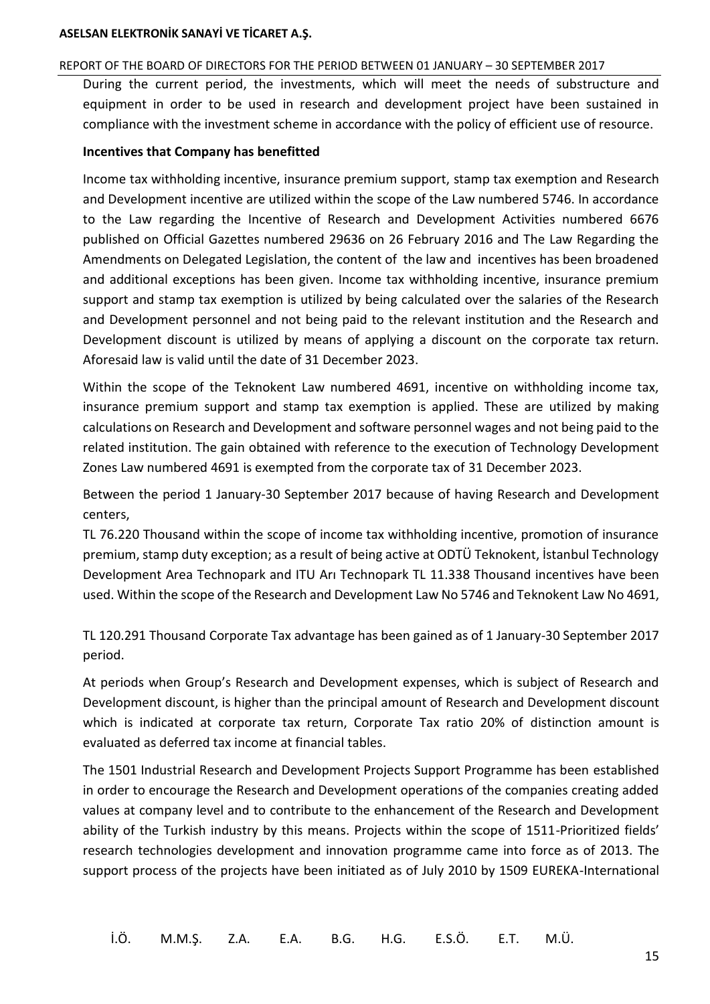#### REPORT OF THE BOARD OF DIRECTORS FOR THE PERIOD BETWEEN 01 JANUARY – 30 SEPTEMBER 2017

During the current period, the investments, which will meet the needs of substructure and equipment in order to be used in research and development project have been sustained in compliance with the investment scheme in accordance with the policy of efficient use of resource.

#### **Incentives that Company has benefitted**

Income tax withholding incentive, insurance premium support, stamp tax exemption and Research and Development incentive are utilized within the scope of the Law numbered 5746. In accordance to the Law regarding the Incentive of Research and Development Activities numbered 6676 published on Official Gazettes numbered 29636 on 26 February 2016 and The Law Regarding the Amendments on Delegated Legislation, the content of the law and incentives has been broadened and additional exceptions has been given. Income tax withholding incentive, insurance premium support and stamp tax exemption is utilized by being calculated over the salaries of the Research and Development personnel and not being paid to the relevant institution and the Research and Development discount is utilized by means of applying a discount on the corporate tax return. Aforesaid law is valid until the date of 31 December 2023.

Within the scope of the Teknokent Law numbered 4691, incentive on withholding income tax, insurance premium support and stamp tax exemption is applied. These are utilized by making calculations on Research and Development and software personnel wages and not being paid to the related institution. The gain obtained with reference to the execution of Technology Development Zones Law numbered 4691 is exempted from the corporate tax of 31 December 2023.

Between the period 1 January-30 September 2017 because of having Research and Development centers,

TL 76.220 Thousand within the scope of income tax withholding incentive, promotion of insurance premium, stamp duty exception; as a result of being active at ODTÜ Teknokent, İstanbul Technology Development Area Technopark and ITU Arı Technopark TL 11.338 Thousand incentives have been used. Within the scope of the Research and Development Law No 5746 and Teknokent Law No 4691,

TL 120.291 Thousand Corporate Tax advantage has been gained as of 1 January-30 September 2017 period.

At periods when Group's Research and Development expenses, which is subject of Research and Development discount, is higher than the principal amount of Research and Development discount which is indicated at corporate tax return, Corporate Tax ratio 20% of distinction amount is evaluated as deferred tax income at financial tables.

The 1501 Industrial Research and Development Projects Support Programme has been established in order to encourage the Research and Development operations of the companies creating added values at company level and to contribute to the enhancement of the Research and Development ability of the Turkish industry by this means. Projects within the scope of 1511-Prioritized fields' research technologies development and innovation programme came into force as of 2013. The support process of the projects have been initiated as of July 2010 by 1509 EUREKA-International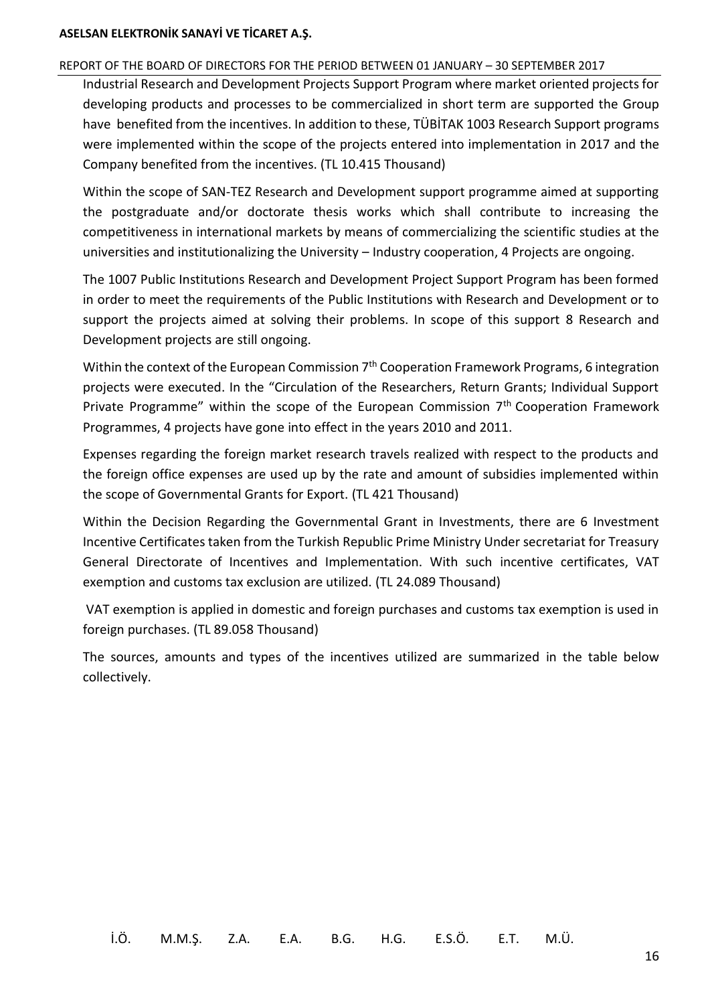#### REPORT OF THE BOARD OF DIRECTORS FOR THE PERIOD BETWEEN 01 JANUARY – 30 SEPTEMBER 2017

Industrial Research and Development Projects Support Program where market oriented projects for developing products and processes to be commercialized in short term are supported the Group have benefited from the incentives. In addition to these, TÜBİTAK 1003 Research Support programs were implemented within the scope of the projects entered into implementation in 2017 and the Company benefited from the incentives. (TL 10.415 Thousand)

Within the scope of SAN-TEZ Research and Development support programme aimed at supporting the postgraduate and/or doctorate thesis works which shall contribute to increasing the competitiveness in international markets by means of commercializing the scientific studies at the universities and institutionalizing the University – Industry cooperation, 4 Projects are ongoing.

The 1007 Public Institutions Research and Development Project Support Program has been formed in order to meet the requirements of the Public Institutions with Research and Development or to support the projects aimed at solving their problems. In scope of this support 8 Research and Development projects are still ongoing.

Within the context of the European Commission 7<sup>th</sup> Cooperation Framework Programs, 6 integration projects were executed. In the "Circulation of the Researchers, Return Grants; Individual Support Private Programme" within the scope of the European Commission 7<sup>th</sup> Cooperation Framework Programmes, 4 projects have gone into effect in the years 2010 and 2011.

Expenses regarding the foreign market research travels realized with respect to the products and the foreign office expenses are used up by the rate and amount of subsidies implemented within the scope of Governmental Grants for Export. (TL 421 Thousand)

Within the Decision Regarding the Governmental Grant in Investments, there are 6 Investment Incentive Certificates taken from the Turkish Republic Prime Ministry Under secretariat for Treasury General Directorate of Incentives and Implementation. With such incentive certificates, VAT exemption and customs tax exclusion are utilized. (TL 24.089 Thousand)

VAT exemption is applied in domestic and foreign purchases and customs tax exemption is used in foreign purchases. (TL 89.058 Thousand)

The sources, amounts and types of the incentives utilized are summarized in the table below collectively.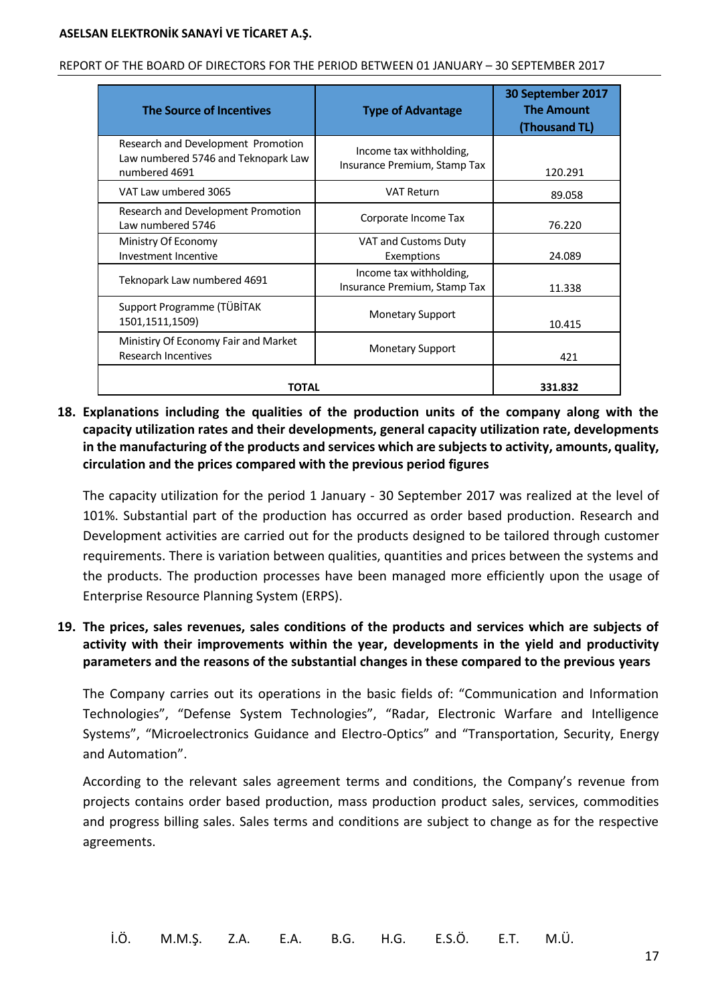| REPORT OF THE BOARD OF DIRECTORS FOR THE PERIOD BETWEEN 01 JANUARY - 30 SEPTEMBER 2017 |  |  |
|----------------------------------------------------------------------------------------|--|--|
|                                                                                        |  |  |

| <b>The Source of Incentives</b>                                                            | <b>Type of Advantage</b>                                | 30 September 2017<br><b>The Amount</b><br>(Thousand TL) |
|--------------------------------------------------------------------------------------------|---------------------------------------------------------|---------------------------------------------------------|
| Research and Development Promotion<br>Law numbered 5746 and Teknopark Law<br>numbered 4691 | Income tax withholding,<br>Insurance Premium, Stamp Tax | 120.291                                                 |
| VAT Law umbered 3065                                                                       | <b>VAT Return</b>                                       | 89.058                                                  |
| Research and Development Promotion<br>Law numbered 5746                                    | Corporate Income Tax                                    | 76.220                                                  |
| Ministry Of Economy<br>Investment Incentive                                                | VAT and Customs Duty<br>Exemptions                      | 24.089                                                  |
| Teknopark Law numbered 4691                                                                | Income tax withholding,<br>Insurance Premium, Stamp Tax | 11.338                                                  |
| Support Programme (TÜBİTAK<br>1501,1511,1509)                                              | <b>Monetary Support</b>                                 | 10.415                                                  |
| Ministiry Of Economy Fair and Market<br><b>Research Incentives</b>                         | <b>Monetary Support</b>                                 | 421                                                     |
| ΤΟΤΑL                                                                                      | 331.832                                                 |                                                         |

# <span id="page-19-0"></span>**18. Explanations including the qualities of the production units of the company along with the capacity utilization rates and their developments, general capacity utilization rate, developments in the manufacturing of the products and services which are subjects to activity, amounts, quality, circulation and the prices compared with the previous period figures**

The capacity utilization for the period 1 January - 30 September 2017 was realized at the level of 101%. Substantial part of the production has occurred as order based production. Research and Development activities are carried out for the products designed to be tailored through customer requirements. There is variation between qualities, quantities and prices between the systems and the products. The production processes have been managed more efficiently upon the usage of Enterprise Resource Planning System (ERPS).

# <span id="page-19-1"></span>**19. The prices, sales revenues, sales conditions of the products and services which are subjects of activity with their improvements within the year, developments in the yield and productivity parameters and the reasons of the substantial changes in these compared to the previous years**

The Company carries out its operations in the basic fields of: "Communication and Information Technologies", "Defense System Technologies", "Radar, Electronic Warfare and Intelligence Systems", "Microelectronics Guidance and Electro-Optics" and "Transportation, Security, Energy and Automation".

According to the relevant sales agreement terms and conditions, the Company's revenue from projects contains order based production, mass production product sales, services, commodities and progress billing sales. Sales terms and conditions are subject to change as for the respective agreements.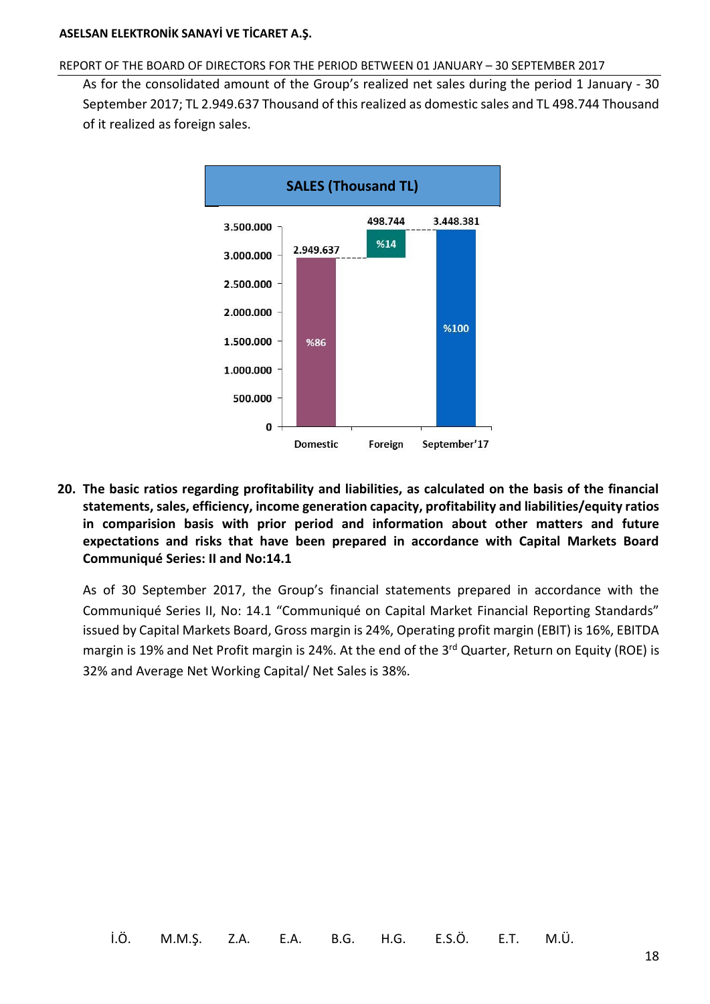#### REPORT OF THE BOARD OF DIRECTORS FOR THE PERIOD BETWEEN 01 JANUARY – 30 SEPTEMBER 2017

As for the consolidated amount of the Group's realized net sales during the period 1 January - 30 September 2017; TL 2.949.637 Thousand of this realized as domestic sales and TL 498.744 Thousand of it realized as foreign sales.



<span id="page-20-0"></span>**20. The basic ratios regarding profitability and liabilities, as calculated on the basis of the financial statements, sales, efficiency, income generation capacity, profitability and liabilities/equity ratios in comparision basis with prior period and information about other matters and future expectations and risks that have been prepared in accordance with Capital Markets Board Communiqué Series: II and No:14.1**

As of 30 September 2017, the Group's financial statements prepared in accordance with the Communiqué Series II, No: 14.1 "Communiqué on Capital Market Financial Reporting Standards" issued by Capital Markets Board, Gross margin is 24%, Operating profit margin (EBIT) is 16%, EBITDA margin is 19% and Net Profit margin is 24%. At the end of the 3<sup>rd</sup> Quarter, Return on Equity (ROE) is 32% and Average Net Working Capital/ Net Sales is 38%.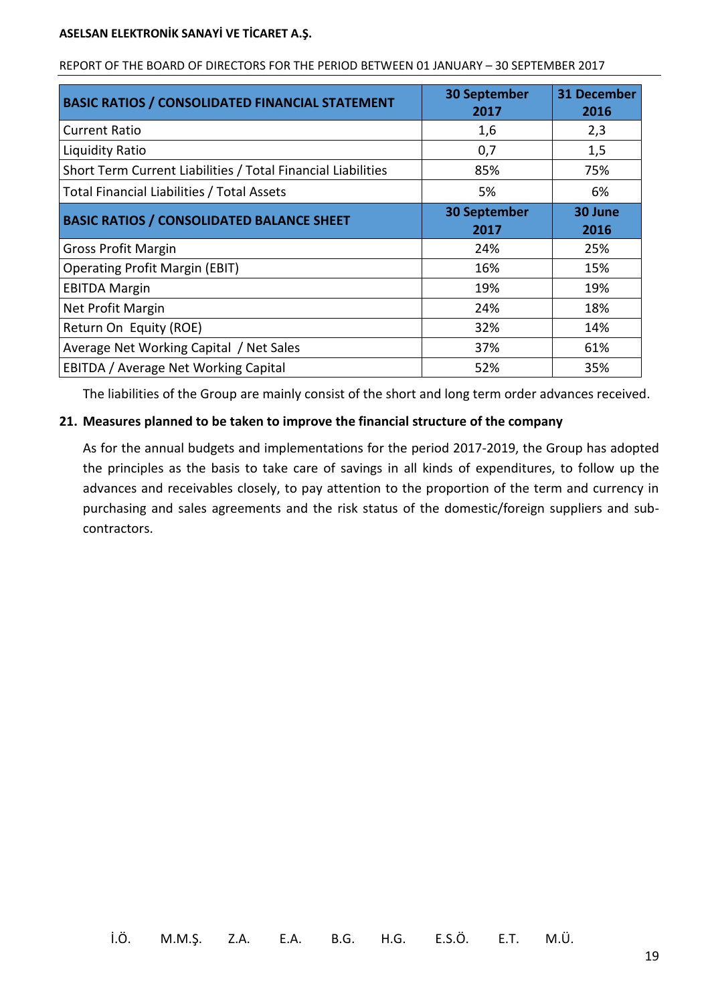| <b>BASIC RATIOS / CONSOLIDATED FINANCIAL STATEMENT</b>       | <b>30 September</b><br>2017 | <b>31 December</b><br>2016 |
|--------------------------------------------------------------|-----------------------------|----------------------------|
| <b>Current Ratio</b>                                         | 1,6                         | 2,3                        |
| Liquidity Ratio                                              | 0,7                         | 1,5                        |
| Short Term Current Liabilities / Total Financial Liabilities | 85%                         | 75%                        |
| Total Financial Liabilities / Total Assets                   | 5%                          | 6%                         |
| <b>BASIC RATIOS / CONSOLIDATED BALANCE SHEET</b>             | <b>30 September</b><br>2017 | 30 June<br>2016            |
| <b>Gross Profit Margin</b>                                   | 24%                         | 25%                        |
| <b>Operating Profit Margin (EBIT)</b>                        | 16%                         | 15%                        |
| <b>EBITDA Margin</b>                                         | 19%                         | 19%                        |
| Net Profit Margin                                            | 24%                         | 18%                        |
| Return On Equity (ROE)                                       | 32%                         | 14%                        |
| Average Net Working Capital / Net Sales                      | 37%                         | 61%                        |
| EBITDA / Average Net Working Capital                         | 52%                         | 35%                        |

#### REPORT OF THE BOARD OF DIRECTORS FOR THE PERIOD BETWEEN 01 JANUARY – 30 SEPTEMBER 2017

<span id="page-21-0"></span>The liabilities of the Group are mainly consist of the short and long term order advances received.

### **21. Measures planned to be taken to improve the financial structure of the company**

As for the annual budgets and implementations for the period 2017-2019, the Group has adopted the principles as the basis to take care of savings in all kinds of expenditures, to follow up the advances and receivables closely, to pay attention to the proportion of the term and currency in purchasing and sales agreements and the risk status of the domestic/foreign suppliers and subcontractors.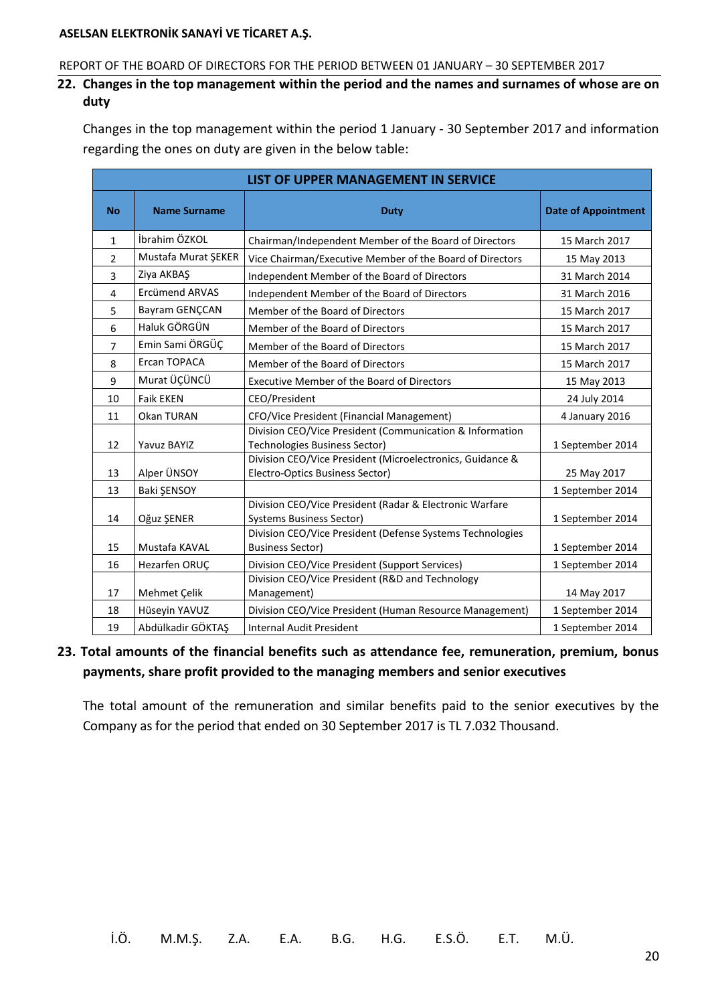#### <span id="page-22-0"></span>REPORT OF THE BOARD OF DIRECTORS FOR THE PERIOD BETWEEN 01 JANUARY – 30 SEPTEMBER 2017

**22. Changes in the top management within the period and the names and surnames of whose are on duty**

Changes in the top management within the period 1 January - 30 September 2017 and information regarding the ones on duty are given in the below table:

|              | <b>LIST OF UPPER MANAGEMENT IN SERVICE</b> |                                                                                              |                  |  |  |
|--------------|--------------------------------------------|----------------------------------------------------------------------------------------------|------------------|--|--|
| <b>No</b>    | <b>Name Surname</b>                        | <b>Date of Appointment</b>                                                                   |                  |  |  |
| $\mathbf{1}$ | İbrahim ÖZKOL                              | Chairman/Independent Member of the Board of Directors                                        | 15 March 2017    |  |  |
| 2            | Mustafa Murat ŞEKER                        | Vice Chairman/Executive Member of the Board of Directors                                     | 15 May 2013      |  |  |
| 3            | Ziya AKBAŞ                                 | Independent Member of the Board of Directors                                                 | 31 March 2014    |  |  |
| 4            | <b>Ercümend ARVAS</b>                      | Independent Member of the Board of Directors                                                 | 31 March 2016    |  |  |
| 5            | Bayram GENÇCAN                             | Member of the Board of Directors                                                             | 15 March 2017    |  |  |
| 6            | Haluk GÖRGÜN                               | Member of the Board of Directors                                                             | 15 March 2017    |  |  |
| 7            | Emin Sami ÖRGÜÇ                            | Member of the Board of Directors                                                             | 15 March 2017    |  |  |
| 8            | Ercan TOPACA                               | Member of the Board of Directors                                                             | 15 March 2017    |  |  |
| 9            | Murat ÜÇÜNCÜ                               | <b>Executive Member of the Board of Directors</b>                                            | 15 May 2013      |  |  |
| 10           | <b>Faik EKEN</b>                           | CEO/President                                                                                | 24 July 2014     |  |  |
| 11           | Okan TURAN                                 | CFO/Vice President (Financial Management)                                                    | 4 January 2016   |  |  |
| 12           | Yavuz BAYIZ                                | Division CEO/Vice President (Communication & Information<br>Technologies Business Sector)    | 1 September 2014 |  |  |
| 13           | Alper ÜNSOY                                | Division CEO/Vice President (Microelectronics, Guidance &<br>Electro-Optics Business Sector) | 25 May 2017      |  |  |
| 13           | Baki ŞENSOY                                |                                                                                              | 1 September 2014 |  |  |
| 14           | Oğuz ŞENER                                 | Division CEO/Vice President (Radar & Electronic Warfare<br><b>Systems Business Sector)</b>   | 1 September 2014 |  |  |
| 15           | Mustafa KAVAL                              | Division CEO/Vice President (Defense Systems Technologies<br><b>Business Sector)</b>         | 1 September 2014 |  |  |
| 16           | Hezarfen ORUÇ                              | Division CEO/Vice President (Support Services)                                               | 1 September 2014 |  |  |
| 17           | Mehmet Çelik                               | Division CEO/Vice President (R&D and Technology<br>Management)                               | 14 May 2017      |  |  |
| 18           | Hüseyin YAVUZ                              | Division CEO/Vice President (Human Resource Management)                                      | 1 September 2014 |  |  |
| 19           | Abdülkadir GÖKTAŞ                          | <b>Internal Audit President</b>                                                              | 1 September 2014 |  |  |

# <span id="page-22-1"></span>**23. Total amounts of the financial benefits such as attendance fee, remuneration, premium, bonus payments, share profit provided to the managing members and senior executives**

The total amount of the remuneration and similar benefits paid to the senior executives by the Company as for the period that ended on 30 September 2017 is TL 7.032 Thousand.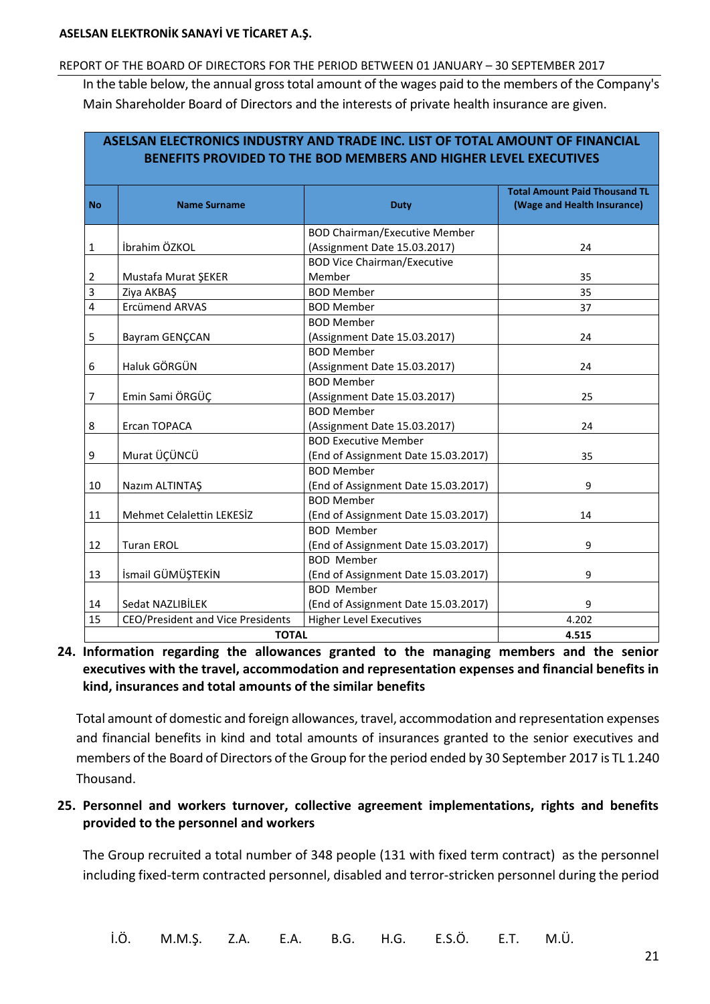#### REPORT OF THE BOARD OF DIRECTORS FOR THE PERIOD BETWEEN 01 JANUARY – 30 SEPTEMBER 2017

In the table below, the annual gross total amount of the wages paid to the members of the Company's Main Shareholder Board of Directors and the interests of private health insurance are given.

**ASELSAN ELECTRONICS INDUSTRY AND TRADE INC. LIST OF TOTAL AMOUNT OF FINANCIAL** 

| <b>No</b> | <b>Name Surname</b>               | <b>Duty</b>                          | <b>Total Amount Paid Thousand TL</b><br>(Wage and Health Insurance) |
|-----------|-----------------------------------|--------------------------------------|---------------------------------------------------------------------|
|           |                                   | <b>BOD Chairman/Executive Member</b> |                                                                     |
| 1         | İbrahim ÖZKOL                     | (Assignment Date 15.03.2017)         | 24                                                                  |
|           |                                   | <b>BOD Vice Chairman/Executive</b>   |                                                                     |
| 2         | Mustafa Murat ŞEKER               | Member                               | 35                                                                  |
| 3         | Ziya AKBAŞ                        | <b>BOD Member</b>                    | 35                                                                  |
| 4         | Ercümend ARVAS                    | <b>BOD Member</b>                    | 37                                                                  |
|           |                                   | <b>BOD Member</b>                    |                                                                     |
| 5         | Bayram GENÇCAN                    | (Assignment Date 15.03.2017)         | 24                                                                  |
|           |                                   | <b>BOD Member</b>                    |                                                                     |
| 6         | Haluk GÖRGÜN                      | (Assignment Date 15.03.2017)         | 24                                                                  |
|           |                                   | <b>BOD Member</b>                    |                                                                     |
| 7         | Emin Sami ÖRGÜÇ                   | (Assignment Date 15.03.2017)         | 25                                                                  |
|           |                                   | <b>BOD Member</b>                    |                                                                     |
| 8         | Ercan TOPACA                      | (Assignment Date 15.03.2017)         | 24                                                                  |
|           |                                   | <b>BOD Executive Member</b>          |                                                                     |
| 9         | Murat ÜÇÜNCÜ                      | (End of Assignment Date 15.03.2017)  | 35                                                                  |
|           |                                   | <b>BOD Member</b>                    |                                                                     |
| 10        | Nazım ALTINTAŞ                    | (End of Assignment Date 15.03.2017)  | 9                                                                   |
|           |                                   | <b>BOD Member</b>                    |                                                                     |
| 11        | Mehmet Celalettin LEKESİZ         | (End of Assignment Date 15.03.2017)  | 14                                                                  |
|           |                                   | <b>BOD Member</b>                    |                                                                     |
| 12        | <b>Turan EROL</b>                 | (End of Assignment Date 15.03.2017)  | 9                                                                   |
|           |                                   | <b>BOD Member</b>                    |                                                                     |
| 13        | İsmail GÜMÜŞTEKİN                 | (End of Assignment Date 15.03.2017)  | 9                                                                   |
|           |                                   | <b>BOD Member</b>                    |                                                                     |
| 14        | Sedat NAZLIBİLEK                  | (End of Assignment Date 15.03.2017)  | 9                                                                   |
| 15        | CEO/President and Vice Presidents | <b>Higher Level Executives</b>       | 4.202                                                               |
|           | <b>TOTAL</b>                      | 4.515                                |                                                                     |

# <span id="page-23-0"></span>**24. Information regarding the allowances granted to the managing members and the senior executives with the travel, accommodation and representation expenses and financial benefits in kind, insurances and total amounts of the similar benefits**

<span id="page-23-1"></span>Total amount of domestic and foreign allowances, travel, accommodation and representation expenses and financial benefits in kind and total amounts of insurances granted to the senior executives and members of the Board of Directors of the Group for the period ended by 30 September 2017 is TL 1.240 Thousand.

# **25. Personnel and workers turnover, collective agreement implementations, rights and benefits provided to the personnel and workers**

The Group recruited a total number of 348 people (131 with fixed term contract) as the personnel including fixed-term contracted personnel, disabled and terror-stricken personnel during the period

İ.Ö. M.M.Ş. Z.A. E.A. B.G. H.G. E.S.Ö. E.T. M.Ü.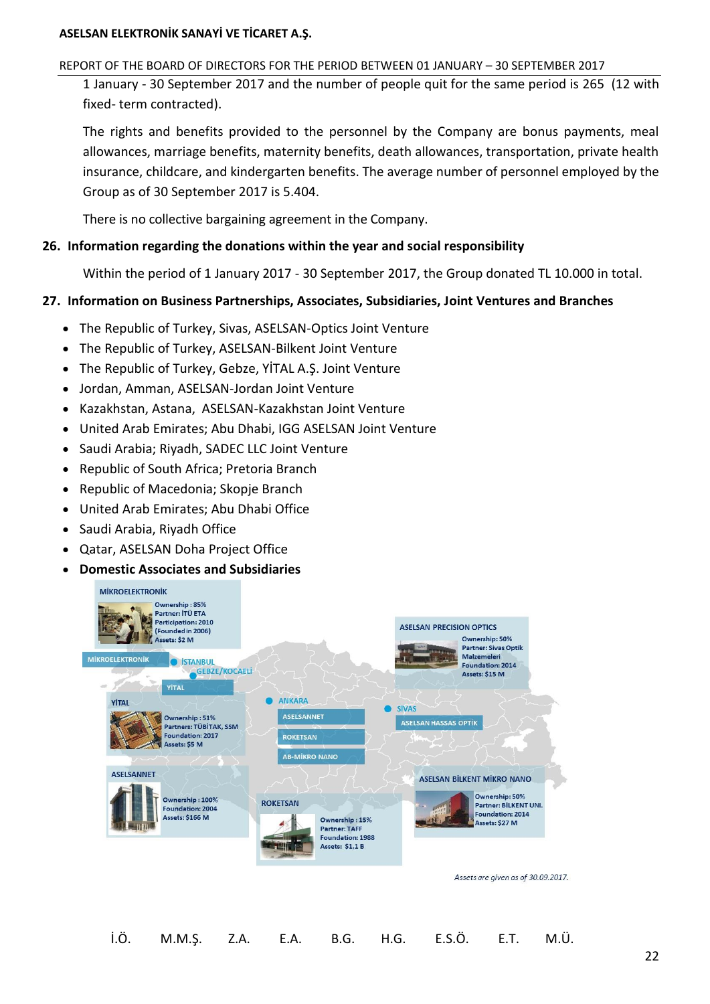#### REPORT OF THE BOARD OF DIRECTORS FOR THE PERIOD BETWEEN 01 JANUARY – 30 SEPTEMBER 2017

1 January - 30 September 2017 and the number of people quit for the same period is 265 (12 with fixed- term contracted).

The rights and benefits provided to the personnel by the Company are bonus payments, meal allowances, marriage benefits, maternity benefits, death allowances, transportation, private health insurance, childcare, and kindergarten benefits. The average number of personnel employed by the Group as of 30 September 2017 is 5.404.

<span id="page-24-0"></span>There is no collective bargaining agreement in the Company.

# <span id="page-24-1"></span>**26. Information regarding the donations within the year and social responsibility**

Within the period of 1 January 2017 - 30 September 2017, the Group donated TL 10.000 in total.

# **27. Information on Business Partnerships, Associates, Subsidiaries, Joint Ventures and Branches**

- The Republic of Turkey, Sivas, ASELSAN-Optics Joint Venture
- The Republic of Turkey, ASELSAN-Bilkent Joint Venture
- The Republic of Turkey, Gebze, YİTAL A.Ş. Joint Venture
- Jordan, Amman, ASELSAN-Jordan Joint Venture
- Kazakhstan, Astana, ASELSAN-Kazakhstan Joint Venture
- United Arab Emirates; Abu Dhabi, IGG ASELSAN Joint Venture
- Saudi Arabia; Riyadh, SADEC LLC Joint Venture
- Republic of South Africa; Pretoria Branch
- Republic of Macedonia; Skopje Branch
- United Arab Emirates; Abu Dhabi Office
- Saudi Arabia, Riyadh Office
- Qatar, ASELSAN Doha Project Office
- **Domestic Associates and Subsidiaries**

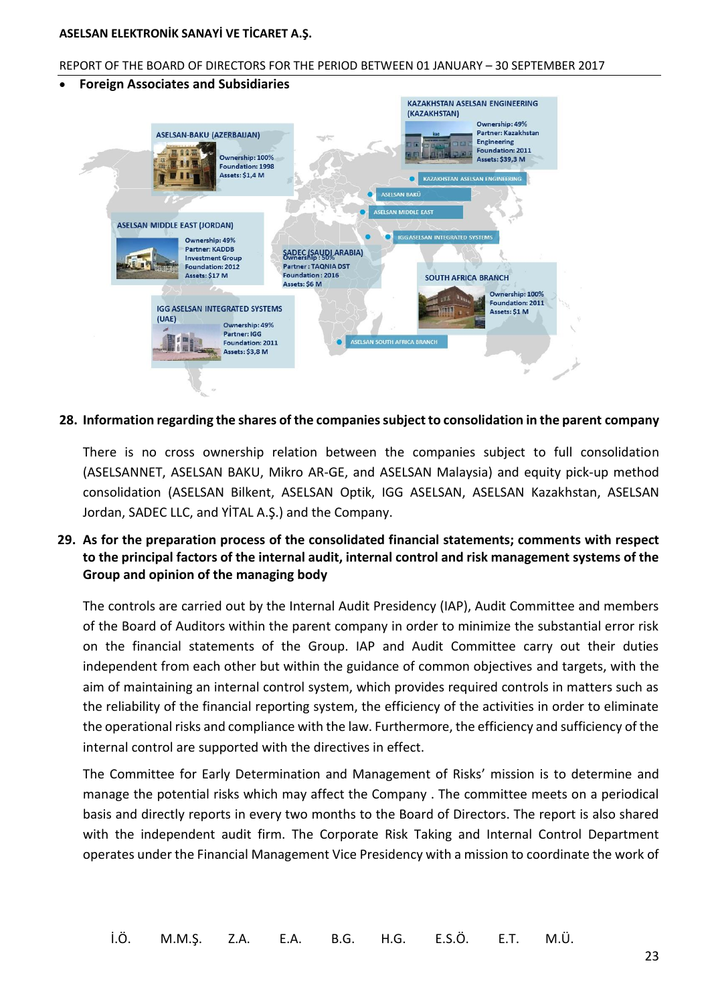#### REPORT OF THE BOARD OF DIRECTORS FOR THE PERIOD BETWEEN 01 JANUARY – 30 SEPTEMBER 2017



#### <span id="page-25-0"></span>**28. Information regarding the shares of the companies subject to consolidation in the parent company**

<span id="page-25-1"></span>There is no cross ownership relation between the companies subject to full consolidation (ASELSANNET, ASELSAN BAKU, Mikro AR-GE, and ASELSAN Malaysia) and equity pick-up method consolidation (ASELSAN Bilkent, ASELSAN Optik, IGG ASELSAN, ASELSAN Kazakhstan, ASELSAN Jordan, SADEC LLC, and YİTAL A.Ş.) and the Company.

# **29. As for the preparation process of the consolidated financial statements; comments with respect to the principal factors of the internal audit, internal control and risk management systems of the Group and opinion of the managing body**

The controls are carried out by the Internal Audit Presidency (IAP), Audit Committee and members of the Board of Auditors within the parent company in order to minimize the substantial error risk on the financial statements of the Group. IAP and Audit Committee carry out their duties independent from each other but within the guidance of common objectives and targets, with the aim of maintaining an internal control system, which provides required controls in matters such as the reliability of the financial reporting system, the efficiency of the activities in order to eliminate the operational risks and compliance with the law. Furthermore, the efficiency and sufficiency of the internal control are supported with the directives in effect.

The Committee for Early Determination and Management of Risks' mission is to determine and manage the potential risks which may affect the Company . The committee meets on a periodical basis and directly reports in every two months to the Board of Directors. The report is also shared with the independent audit firm. The Corporate Risk Taking and Internal Control Department operates under the Financial Management Vice Presidency with a mission to coordinate the work of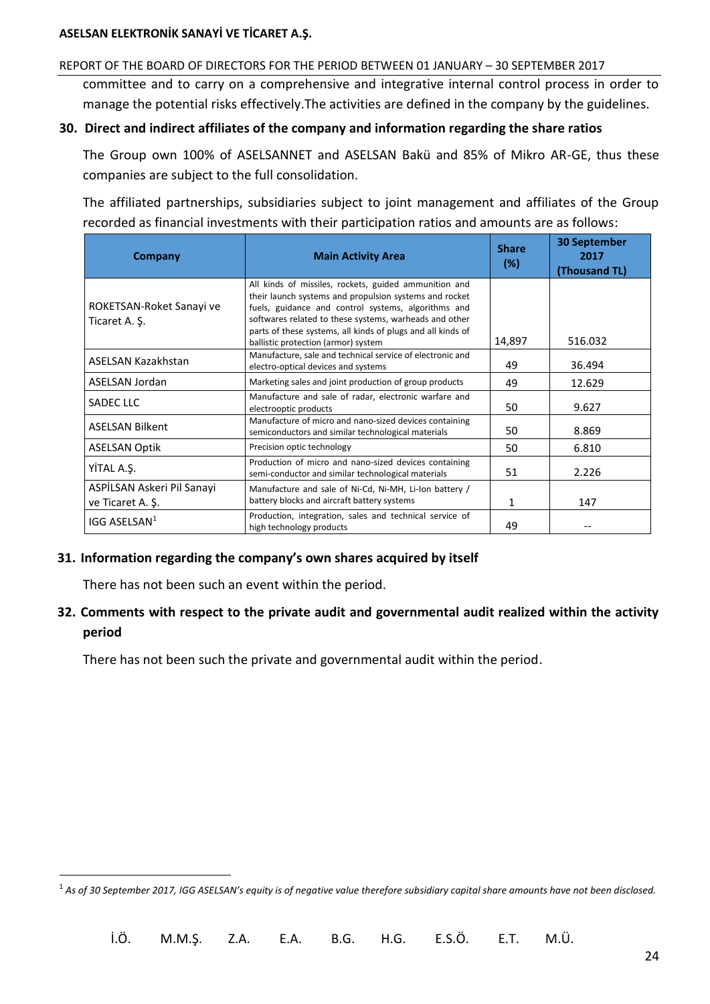#### <span id="page-26-0"></span>REPORT OF THE BOARD OF DIRECTORS FOR THE PERIOD BETWEEN 01 JANUARY – 30 SEPTEMBER 2017

committee and to carry on a comprehensive and integrative internal control process in order to manage the potential risks effectively.The activities are defined in the company by the guidelines.

#### **30. Direct and indirect affiliates of the company and information regarding the share ratios**

The Group own 100% of ASELSANNET and ASELSAN Bakü and 85% of Mikro AR-GE, thus these companies are subject to the full consolidation.

The affiliated partnerships, subsidiaries subject to joint management and affiliates of the Group recorded as financial investments with their participation ratios and amounts are as follows:

| Company                                        | <b>Main Activity Area</b>                                                                                                                                                                                                                                                                                                              | <b>Share</b><br>(%) | <b>30 September</b><br>2017<br>(Thousand TL) |
|------------------------------------------------|----------------------------------------------------------------------------------------------------------------------------------------------------------------------------------------------------------------------------------------------------------------------------------------------------------------------------------------|---------------------|----------------------------------------------|
| ROKETSAN-Roket Sanayi ve<br>Ticaret A. S.      | All kinds of missiles, rockets, guided ammunition and<br>their launch systems and propulsion systems and rocket<br>fuels, guidance and control systems, algorithms and<br>softwares related to these systems, warheads and other<br>parts of these systems, all kinds of plugs and all kinds of<br>ballistic protection (armor) system | 14,897              | 516.032                                      |
| ASELSAN Kazakhstan                             | Manufacture, sale and technical service of electronic and<br>electro-optical devices and systems                                                                                                                                                                                                                                       | 49                  | 36.494                                       |
| ASELSAN Jordan                                 | Marketing sales and joint production of group products                                                                                                                                                                                                                                                                                 | 49                  | 12.629                                       |
| <b>SADEC LLC</b>                               | Manufacture and sale of radar, electronic warfare and<br>electrooptic products                                                                                                                                                                                                                                                         | 50                  | 9.627                                        |
| <b>ASELSAN Bilkent</b>                         | Manufacture of micro and nano-sized devices containing<br>semiconductors and similar technological materials                                                                                                                                                                                                                           | 50                  | 8.869                                        |
| <b>ASELSAN Optik</b>                           | Precision optic technology                                                                                                                                                                                                                                                                                                             | 50                  | 6.810                                        |
| YİTAL A.Ş.                                     | Production of micro and nano-sized devices containing<br>semi-conductor and similar technological materials                                                                                                                                                                                                                            | 51                  | 2.226                                        |
| ASPİLSAN Askeri Pil Sanayi<br>ve Ticaret A. S. | Manufacture and sale of Ni-Cd, Ni-MH, Li-Ion battery /<br>battery blocks and aircraft battery systems                                                                                                                                                                                                                                  | 1                   | 147                                          |
| IGG ASELSAN <sup>1</sup>                       | Production, integration, sales and technical service of<br>high technology products                                                                                                                                                                                                                                                    | 49                  |                                              |

#### <span id="page-26-2"></span><span id="page-26-1"></span>**31. Information regarding the company's own shares acquired by itself**

There has not been such an event within the period.

 $\overline{a}$ 

# **32. Comments with respect to the private audit and governmental audit realized within the activity period**

There has not been such the private and governmental audit within the period.

<sup>1</sup> *As of 30 September 2017, IGG ASELSAN's equity is of negative value therefore subsidiary capital share amounts have not been disclosed.*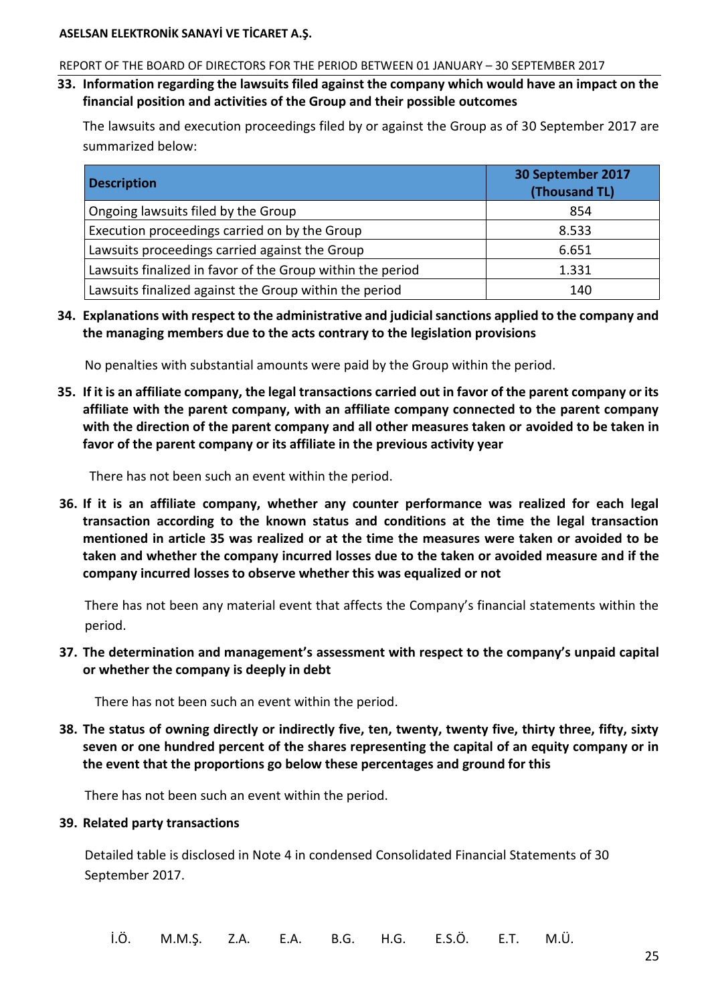#### <span id="page-27-0"></span>REPORT OF THE BOARD OF DIRECTORS FOR THE PERIOD BETWEEN 01 JANUARY – 30 SEPTEMBER 2017

**33. Information regarding the lawsuits filed against the company which would have an impact on the financial position and activities of the Group and their possible outcomes**

The lawsuits and execution proceedings filed by or against the Group as of 30 September 2017 are summarized below:

| <b>Description</b>                                         | 30 September 2017<br>(Thousand TL) |
|------------------------------------------------------------|------------------------------------|
| Ongoing lawsuits filed by the Group                        | 854                                |
| Execution proceedings carried on by the Group              | 8.533                              |
| Lawsuits proceedings carried against the Group             | 6.651                              |
| Lawsuits finalized in favor of the Group within the period | 1.331                              |
| Lawsuits finalized against the Group within the period     | 140                                |

<span id="page-27-2"></span><span id="page-27-1"></span>**34. Explanations with respect to the administrative and judicial sanctions applied to the company and the managing members due to the acts contrary to the legislation provisions**

No penalties with substantial amounts were paid by the Group within the period.

**35. If it is an affiliate company, the legal transactions carried out in favor of the parent company or its affiliate with the parent company, with an affiliate company connected to the parent company with the direction of the parent company and all other measures taken or avoided to be taken in favor of the parent company or its affiliate in the previous activity year**

<span id="page-27-3"></span>There has not been such an event within the period.

**36. If it is an affiliate company, whether any counter performance was realized for each legal transaction according to the known status and conditions at the time the legal transaction mentioned in article 35 was realized or at the time the measures were taken or avoided to be taken and whether the company incurred losses due to the taken or avoided measure and if the company incurred losses to observe whether this was equalized or not**

<span id="page-27-4"></span>There has not been any material event that affects the Company's financial statements within the period.

<span id="page-27-5"></span>**37. The determination and management's assessment with respect to the company's unpaid capital or whether the company is deeply in debt**

There has not been such an event within the period.

<span id="page-27-6"></span>**38. The status of owning directly or indirectly five, ten, twenty, twenty five, thirty three, fifty, sixty seven or one hundred percent of the shares representing the capital of an equity company or in the event that the proportions go below these percentages and ground for this**

There has not been such an event within the period.

#### **39. Related party transactions**

Detailed table is disclosed in Note 4 in condensed Consolidated Financial Statements of 30 September 2017.

İ.Ö. M.M.Ş. Z.A. E.A. B.G. H.G. E.S.Ö. E.T. M.Ü.